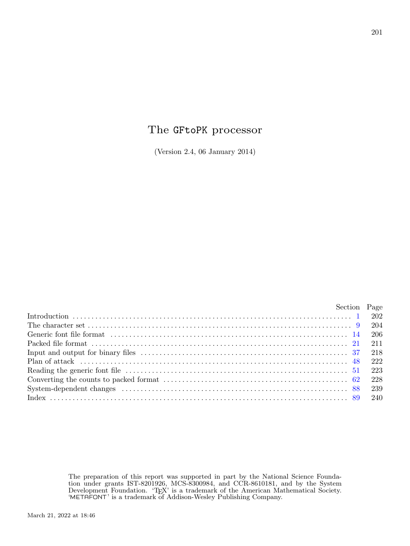# The GFtoPK processor

(Version 2.4, 06 January 2014)

|                                                                                                                                                                                                                                | Section Page |     |
|--------------------------------------------------------------------------------------------------------------------------------------------------------------------------------------------------------------------------------|--------------|-----|
|                                                                                                                                                                                                                                |              |     |
| The character set $\ldots$ $\ldots$ $\ldots$ $\ldots$ $\ldots$ $\ldots$ $\ldots$ $\ldots$ $\ldots$ $\ldots$ $\ldots$ $\ldots$ $\ldots$ $\ldots$ $\qquad \qquad 204$                                                            |              |     |
|                                                                                                                                                                                                                                |              |     |
|                                                                                                                                                                                                                                |              |     |
|                                                                                                                                                                                                                                |              |     |
| Plan of attack $\ldots$ attack $\ldots$ attack $\ldots$ attack $\ldots$ attack $\ldots$ and $\ldots$ attack $\ldots$                                                                                                           |              |     |
|                                                                                                                                                                                                                                |              |     |
|                                                                                                                                                                                                                                |              | 228 |
| System-dependent changes (a) contain the contract of the contract of the contract of the contract of the contract of the contract of the contract of the contract of the contract of the contract of the contract of the contr |              |     |
|                                                                                                                                                                                                                                |              |     |
|                                                                                                                                                                                                                                |              |     |

The preparation of this report was supported in part by the National Science Foundation under grants IST-8201926, MCS-8300984, and CCR-8610181, and by the System Development Foundation. 'TEX' is a trademark of the American Mathematical Society. 'METAFONT' is a trademark of Addison-Wesley Publishing Company.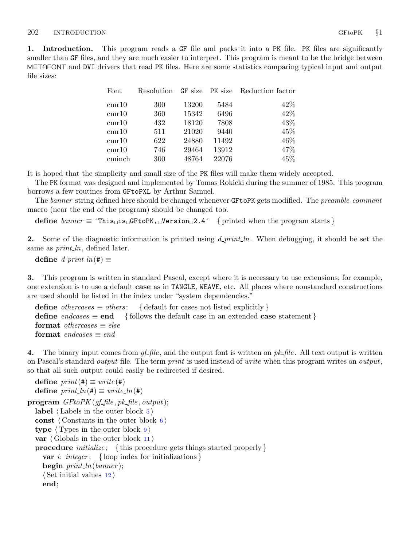<span id="page-1-0"></span>1. Introduction. This program reads a GF file and packs it into a PK file. PK files are significantly smaller than GF files, and they are much easier to interpret. This program is meant to be the bridge between METAFONT and DVI drivers that read PK files. Here are some statistics comparing typical input and output file sizes:

| Font   | Resolution |       |       | <b>GF</b> size <b>PK</b> size Reduction factor |
|--------|------------|-------|-------|------------------------------------------------|
| cmr10  | 300        | 13200 | 5484  | 42\%                                           |
| cmr10  | 360        | 15342 | 6496  | 42\%                                           |
| cmr10  | 432        | 18120 | 7808  | 43\%                                           |
| cmr10  | 511        | 21020 | 9440  | 45\%                                           |
| cmr10  | 622        | 24880 | 11492 | 46\%                                           |
| cmr10  | 746        | 29464 | 13912 | 47\%                                           |
| cminch | 300        | 48764 | 22076 | 45%                                            |

It is hoped that the simplicity and small size of the PK files will make them widely accepted.

The PK format was designed and implemented by Tomas Rokicki during the summer of 1985. This program borrows a few routines from GFtoPXL by Arthur Samuel.

The banner string defined here should be changed whenever GFtoPK gets modified. The preamble comment macro (near the end of the program) should be changed too.

define banner ≡ ´This is GFtoPK, Version 2.4´ { printed when the program starts }

**2.** Some of the diagnostic information is printed using  $d$ -print-ln. When debugging, it should be set the same as *print\_ln*, defined later.

define  $d\_print\_ln(F) \equiv$ 

3. This program is written in standard Pascal, except where it is necessary to use extensions; for example, one extension is to use a default case as in TANGLE, WEAVE, etc. All places where nonstandard constructions are used should be listed in the index under "system dependencies."

define *othercases*  $\equiv$  *others*: { default for cases not listed explicitly } define endcases  $\equiv$  end { follows the default case in an extended case statement } format *othercases*  $\equiv$  *else* format endcases  $\equiv$  end

4. The binary input comes from  $gf$ -file, and the output font is written on  $pk$ -file. All text output is written on Pascal's standard *output* file. The term *print* is used instead of *write* when this program writes on *output*, so that all such output could easily be redirected if desired.

```
define print(\textbf{\#}) \equiv write(\textbf{\#})define print\_ln(F) \equiv write\_ln(F)\mathbf{program} \; GFtoPK(gf_{\mathit{f}}\hat{f} \hat{l} \hat{e}, \hat{pk}_{\mathit{f}}\hat{f} \hat{l} \hat{e}, \text{output});label \langle5\rangleconst \langle6\rangletype \langle9\ranglevar \langle11 \rangleprocedure initialize; {this procedure gets things started properly }
    var i: integer; { loop index for initializations }
    begin print\_ln(banner);
    \langle12 \rangleend;
```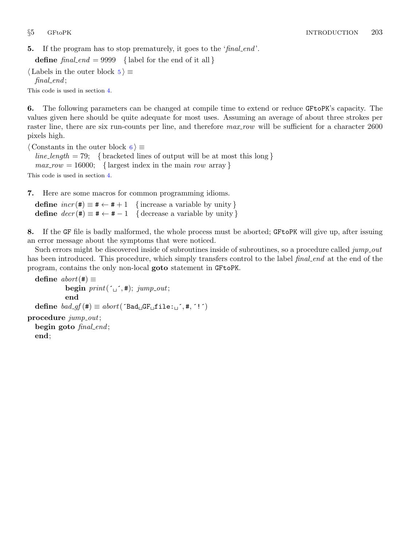<span id="page-2-0"></span>**5.** If the program has to stop prematurely, it goes to the 'final end'.

define  $final\_end = 9999$  { label for the end of it all }

 $\langle$  Labels in the outer block  $5 \rangle \equiv$  $final$ .

This code is used in section [4](#page-1-0).

6. The following parameters can be changed at compile time to extend or reduce GFtoPK's capacity. The values given here should be quite adequate for most uses. Assuming an average of about three strokes per raster line, there are six run-counts per line, and therefore  $max_{x}$  will be sufficient for a character 2600 pixels high.

 $\langle$  Constants in the outer block 6  $\rangle \equiv$  $line_length = 79;$  {bracketed lines of output will be at most this long}  $max_{10}$  = 16000; { largest index in the main row array } This code is used in section [4](#page-1-0).

7. Here are some macros for common programming idioms.

define  $incr(\#) \equiv # \leftarrow # + 1$  {increase a variable by unity } define  $decr(\texttt{\#}) \equiv \texttt{\#} \leftarrow \texttt{\#} - 1$  { decrease a variable by unity }

8. If the GF file is badly malformed, the whole process must be aborted; GFtoPK will give up, after issuing an error message about the symptoms that were noticed.

Such errors might be discovered inside of subroutines inside of subroutines, so a procedure called jump out has been introduced. This procedure, which simply transfers control to the label *final end* at the end of the program, contains the only non-local goto statement in GFtoPK.

```
define abort(\#) \equivbegin print(\ulcorner \_ \lnot, \#); jump\_out;end
  define bad\_gf(\#) \equiv abort('Bad \_GF \_file:\_',\#, '!')procedure jump\_out;begin goto \text{final-end};
  end;
```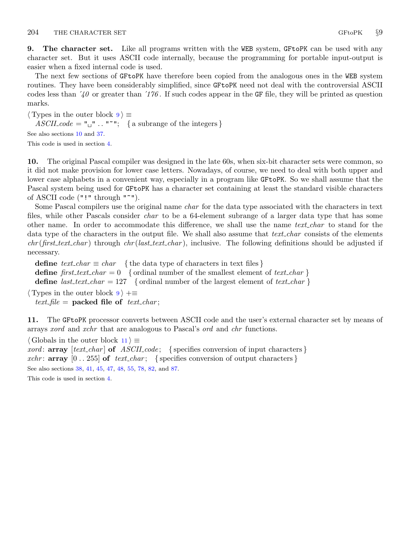<span id="page-3-0"></span>9. The character set. Like all programs written with the WEB system, GFtoPK can be used with any character set. But it uses ASCII code internally, because the programming for portable input-output is easier when a fixed internal code is used.

The next few sections of GFtoPK have therefore been copied from the analogous ones in the WEB system routines. They have been considerably simplified, since GFtoPK need not deal with the controversial ASCII codes less than  $\angle 40$  or greater than  $\angle 176$ . If such codes appear in the GF file, they will be printed as question marks.

 $\langle$  Types in the outer block  $9 \rangle \equiv$  $ASCII\_code = "u" ... "''';$  { a subrange of the integers } See also sections 10 and [37.](#page-17-0) This code is used in section [4](#page-1-0).

10. The original Pascal compiler was designed in the late 60s, when six-bit character sets were common, so it did not make provision for lower case letters. Nowadays, of course, we need to deal with both upper and lower case alphabets in a convenient way, especially in a program like GFtoPK. So we shall assume that the Pascal system being used for GFtoPK has a character set containing at least the standard visible characters of ASCII code ("!" through "~").

Some Pascal compilers use the original name *char* for the data type associated with the characters in text files, while other Pascals consider *char* to be a 64-element subrange of a larger data type that has some other name. In order to accommodate this difference, we shall use the name *text\_char* to stand for the data type of the characters in the output file. We shall also assume that *text char* consists of the elements  $chr(first.text\_char)$  through  $chr(last.text\_char)$ , inclusive. The following definitions should be adjusted if necessary.

define  $text_{cchar} \equiv char$  { the data type of characters in text files } define first text char = 0 { ordinal number of the smallest element of text char } define *last\_text\_char* = 127 { ordinal number of the largest element of text\_char }  $\langle$  Types in the outer block  $9 \rangle + \equiv$ 

text\_file = packed file of text\_char;

11. The GFtoPK processor converts between ASCII code and the user's external character set by means of arrays xord and xchr that are analogous to Pascal's ord and chr functions.

 $\langle$  Globals in the outer block 11  $\rangle \equiv$ *xord*:  $array [text{\n*char*] of *ASCII-code*; {specifies conversion of input characters}$ xchr: **array**  $[0 \tcdot 255]$  of text charged set is specifies conversion of output characters  $\}$ See also sections [38](#page-17-0), [41,](#page-17-0) [45](#page-19-0), [47](#page-20-0), [48,](#page-21-0) [55](#page-23-0), [78,](#page-34-0) [82,](#page-36-0) and [87.](#page-37-0)

This code is used in section [4](#page-1-0).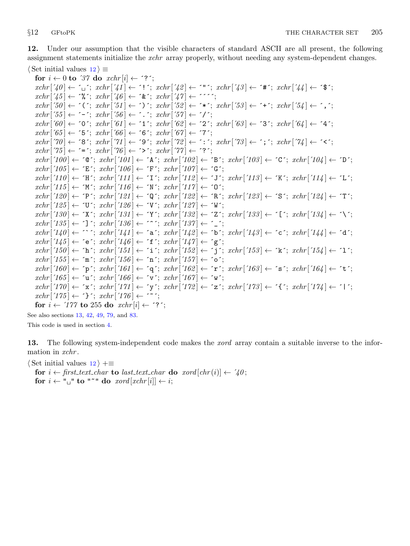<span id="page-4-0"></span>12. Under our assumption that the visible characters of standard ASCII are all present, the following assignment statements initialize the xchr array properly, without needing any system-dependent changes.  $\langle$  Set initial values  $12 \rangle \equiv$ 

for  $i \leftarrow 0$  to '37 do  $xchr[i] \leftarrow$  '?';  $xchr[740] \leftarrow \ulcorner_1$ ;  $xchr[74] \leftarrow \ulcorner!$ ;  $xchr[74] \leftarrow \ulcorner!$ ;  $xchr[74] \leftarrow \ulcorner*$ ;  $xchr[74] \leftarrow \ulcorner*$ ;  $xchr['45] \leftarrow \mathcal{X}$ ;  $xchr['46] \leftarrow \mathcal{X}$ ;  $xchr['47] \leftarrow \mathcal{Y}$ ;  $xchr[50] \leftarrow \checkmark$ ;  $xchr[51] \leftarrow \checkmark$ ;  $xchr[52] \leftarrow \checkmark$ ;  $xchr[53] \leftarrow \checkmark$ ;  $xchr[54] \leftarrow \checkmark$ ;  $xchr['55] \leftarrow -$ ;  $xchr['56] \leftarrow$ .;  $xchr['57] \leftarrow '$  $xchr['60] \leftarrow '0'; xchr['61] \leftarrow '1'; xchr['62] \leftarrow '2'; xchr['63] \leftarrow '3'; xchr['64] \leftarrow '4';$  $xchr['65] \leftarrow 5$ ;  $xchr['66] \leftarrow 6$ ;  $xchr['67] \leftarrow 7$ ;  $xchr['70] \leftarrow$  '8';  $xchr['71] \leftarrow$  '9';  $xchr['72] \leftarrow$  ':';  $xchr['73] \leftarrow$ '; ';  $xchr['74] \leftarrow$  '<';  $xchr['75] \leftarrow \equiv \div; xchr['76] \leftarrow \leftrightarrow \div; xchr['77] \leftarrow \div \div;$  $xchr['100] \leftarrow$   $\circ \mathbb{C}$ ;  $xchr['101] \leftarrow \mathbb{A}$ ;  $xchr['102] \leftarrow \mathbb{B}$ ;  $xchr['103] \leftarrow \mathbb{C}$ ;  $xchr['104] \leftarrow \mathbb{D}$ ;  $xchr['105] \leftarrow \text{'}E'; xchr['106] \leftarrow \text{'}F'; xchr['107] \leftarrow \text{'}G';$  $xchr['110] \leftarrow \text{`H}\text{`; } xchr['111] \leftarrow \text{`I}\text{`; } xchr['112] \leftarrow \text{`J}\text{`; } xchr['113] \leftarrow \text{`K}\text{`; } xchr['114] \leftarrow \text{`L}\text{`;}$  $xchr['115] \leftarrow \gamma' xchr['116] \leftarrow \gamma' xchr['117] \leftarrow \gamma'$ ;  $xchr['120] \leftarrow \text{'}P'; xchr['121] \leftarrow \text{'}Q'; xchr['122] \leftarrow \text{'}R'; xchr['123] \leftarrow \text{'}S'; xchr['124] \leftarrow \text{'}T';$  $xchr['125] \leftarrow \text{`U'}$ ;  $xchr['126] \leftarrow \text{`V'}$ ;  $xchr['127] \leftarrow \text{`W'}$ ;  $xchr['130] \leftarrow \text{'}X'; xchr['131] \leftarrow \text{'}Y'; xchr['132] \leftarrow \text{'}Z'; xchr['133] \leftarrow \text{'}[t'; xchr['134] \leftarrow \text{'}Y'; xchr['134] \leftarrow \text{'}Y'; xchr['135] \leftarrow \text{'}Z'; xchr['136] \leftarrow \text{'}Y'; xchr['136] \leftarrow \text{'}Y'; xchr['137] \leftarrow \text{'}Y'; xchr['138] \leftarrow \text{'}Y'; xchr['138] \leftarrow \text{'}Y'; xchr['138] \leftarrow \text{'}$  $xchr['135] \leftarrow \text{'}$ ;  $xchr['136] \leftarrow \text{'}$ ;  $xchr['137] \leftarrow \text{'}$ ;  $xchr['140] \leftarrow \cdots$ ;  $xchr['141] \leftarrow 'a$ ;  $xchr['142] \leftarrow 'b$ ;  $xchr['143] \leftarrow 'c$ ;  $xchr['144] \leftarrow 'a'$ ;  $xchr['145] \leftarrow$  ´e´;  $xchr['146] \leftarrow$  ´f´;  $xchr['147] \leftarrow$  ´g´;  $xchr['150] \leftarrow \text{`h'}; xchr['151] \leftarrow \text{`i'}; xchr['152] \leftarrow \text{`j'}; xchr['153] \leftarrow \text{`k'}; xchr['154] \leftarrow \text{`1'};$  $xchr['155] \leftarrow \text{`m'}; xchr['156] \leftarrow \text{`n'}; xchr['157] \leftarrow \text{`o'};$  $xchr['160] \leftarrow \text{`p`; } xchr['161] \leftarrow \text{`q`; } xchr['162] \leftarrow \text{`r`; } xchr['163] \leftarrow \text{`s`; } xchr['164] \leftarrow \text{`t`;}$  $xchr['165] \leftarrow \text{`u'}; xchr['166] \leftarrow \text{`v'}; xchr['167] \leftarrow \text{`w'};$  $xchr['170] \leftarrow \text{'x'}; xchr['171] \leftarrow \text{'y'}; xchr['172] \leftarrow \text{'z'}; xchr['173] \leftarrow \text{'t'}; xchr['174] \leftarrow \text{'t'};$  $xchr['175] \leftarrow \text{'}$ ;  $xchr['176] \leftarrow \text{'}$ for  $i \leftarrow 777$  to 255 do  $xchr[i] \leftarrow ?$ ;

See also sections 13, [42,](#page-17-0) [49](#page-21-0), [79](#page-34-0), and [83](#page-36-0). This code is used in section [4](#page-1-0).

13. The following system-independent code makes the *xord* array contain a suitable inverse to the information in xchr.

 $\langle$  Set initial values 12  $\rangle$  +≡

for  $i \leftarrow$  first\_text\_char to last\_text\_char do xord  $[chr(i)] \leftarrow '40$ ; for  $i \leftarrow$  " $\sqcup$ " to "<sup>\*</sup>" do xord [xchr[i]  $\leftarrow i$ ;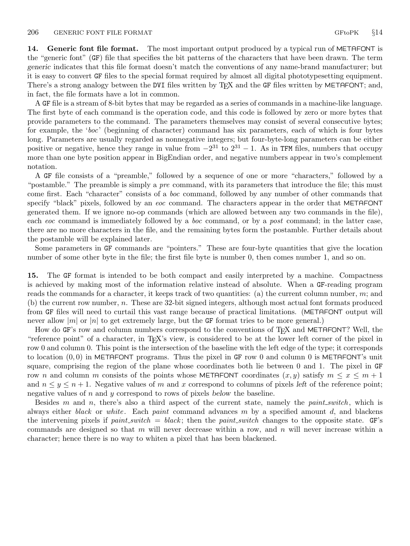<span id="page-5-0"></span>14. Generic font file format. The most important output produced by a typical run of METAFONT is the "generic font" (GF) file that specifies the bit patterns of the characters that have been drawn. The term generic indicates that this file format doesn't match the conventions of any name-brand manufacturer; but it is easy to convert GF files to the special format required by almost all digital phototypesetting equipment. There's a strong analogy between the DVI files written by TEX and the GF files written by METAFONT; and, in fact, the file formats have a lot in common.

A GF file is a stream of 8-bit bytes that may be regarded as a series of commands in a machine-like language. The first byte of each command is the operation code, and this code is followed by zero or more bytes that provide parameters to the command. The parameters themselves may consist of several consecutive bytes; for example, the 'boc' (beginning of character) command has six parameters, each of which is four bytes long. Parameters are usually regarded as nonnegative integers; but four-byte-long parameters can be either positive or negative, hence they range in value from  $-2^{31}$  to  $2^{31} - 1$ . As in TFM files, numbers that occupy more than one byte position appear in BigEndian order, and negative numbers appear in two's complement notation.

A GF file consists of a "preamble," followed by a sequence of one or more "characters," followed by a "postamble." The preamble is simply a *pre* command, with its parameters that introduce the file; this must come first. Each "character" consists of a boc command, followed by any number of other commands that specify "black" pixels, followed by an eoc command. The characters appear in the order that METAFONT generated them. If we ignore no-op commands (which are allowed between any two commands in the file), each eoc command is immediately followed by a boc command, or by a post command; in the latter case, there are no more characters in the file, and the remaining bytes form the postamble. Further details about the postamble will be explained later.

Some parameters in GF commands are "pointers." These are four-byte quantities that give the location number of some other byte in the file; the first file byte is number 0, then comes number 1, and so on.

15. The GF format is intended to be both compact and easily interpreted by a machine. Compactness is achieved by making most of the information relative instead of absolute. When a GF-reading program reads the commands for a character, it keeps track of two quantities: (a) the current column number,  $m$ ; and (b) the current row number, n. These are 32-bit signed integers, although most actual font formats produced from GF files will need to curtail this vast range because of practical limitations. (METAFONT output will never allow  $|m|$  or  $|n|$  to get extremely large, but the GF format tries to be more general.)

How do GF's row and column numbers correspond to the conventions of T<sub>F</sub>X and METAFONT? Well, the "reference point" of a character, in TEX's view, is considered to be at the lower left corner of the pixel in row 0 and column 0. This point is the intersection of the baseline with the left edge of the type; it corresponds to location  $(0, 0)$  in METAFONT programs. Thus the pixel in GF row 0 and column 0 is METAFONT's unit square, comprising the region of the plane whose coordinates both lie between 0 and 1. The pixel in GF row n and column m consists of the points whose METAFONT coordinates  $(x, y)$  satisfy  $m \leq x \leq m + 1$ and  $n \leq y \leq n+1$ . Negative values of m and x correspond to columns of pixels left of the reference point; negative values of  $n$  and  $y$  correspond to rows of pixels below the baseline.

Besides m and n, there's also a third aspect of the current state, namely the *paint-switch*, which is always either *black* or *white*. Each *paint* command advances  $m$  by a specified amount  $d$ , and blackens the intervening pixels if  $paint\_switch = black$ ; then the paint switch changes to the opposite state. GF's commands are designed so that  $m$  will never decrease within a row, and  $n$  will never increase within a character; hence there is no way to whiten a pixel that has been blackened.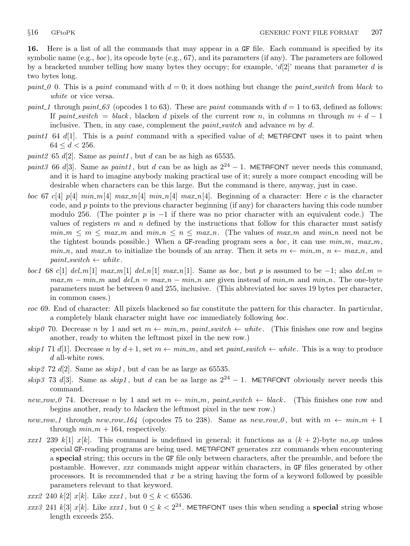<span id="page-6-0"></span>16. Here is a list of all the commands that may appear in a GF file. Each command is specified by its symbolic name  $(e.g., boc)$ , its opcode byte  $(e.g., 67)$ , and its parameters (if any). The parameters are followed by a bracketed number telling how many bytes they occupy; for example, ' $d[2]$ ' means that parameter d is two bytes long.

- paint 0 0. This is a paint command with  $d = 0$ ; it does nothing but change the paint switch from black to white or vice versa.
- paint 1 through paint  $63$  (opcodes 1 to 63). These are paint commands with  $d = 1$  to 63, defined as follows: If paint switch = black, blacken d pixels of the current row n, in columns m through  $m + d - 1$ inclusive. Then, in any case, complement the  $paint\_switch$  and advance  $m$  by  $d$ .
- paint1 64 d[1]. This is a paint command with a specified value of d; METAFONT uses it to paint when  $64 \leq d < 256$ .
- paint 2 65 d[2]. Same as paint 1, but d can be as high as 65535.
- paint3 66 d[3]. Same as paint1, but d can be as high as  $2^{24} 1$ . METAFONT never needs this command, and it is hard to imagine anybody making practical use of it; surely a more compact encoding will be desirable when characters can be this large. But the command is there, anyway, just in case.
- boc 67 c[4]  $p[4]$   $min_m[4]$   $max_m[4]$   $min_n[4]$   $max_n[4]$   $max_n[4]$ . Beginning of a character: Here c is the character code, and p points to the previous character beginning (if any) for characters having this code number modulo 256. (The pointer p is  $-1$  if there was no prior character with an equivalent code.) The values of registers m and n defined by the instructions that follow for this character must satisfy  $min_m \le m \le max_m$  and  $min_n \le n \le max_n$ . (The values of  $max_m$  and  $min_n$  need not be the tightest bounds possible.) When a GF-reading program sees a *boc*, it can use  $min_m$ ,  $max_m$ ,  $min_n$ , and  $max_n$  to initialize the bounds of an array. Then it sets  $m \leftarrow min_m$ ,  $n \leftarrow max_n$ , and  $paint\_switch \leftarrow white$ .
- boc1 68 c[1] del\_m[1] max\_m[1] del\_n[1] max\_n[1]. Same as boc, but p is assumed to be −1; also del\_m =  $max_{m} - min_{m}$  and  $del_{m} = max_{m} - min_{m}$  are given instead of  $min_{m}$  and  $min_{m}$ . The one-byte parameters must be between 0 and 255, inclusive. (This abbreviated boc saves 19 bytes per character, in common cases.)
- eoc 69. End of character: All pixels blackened so far constitute the pattern for this character. In particular, a completely blank character might have eoc immediately following boc.
- skip0 70. Decrease n by 1 and set  $m \leftarrow min_m$ , paint switch  $\leftarrow$  white. (This finishes one row and begins another, ready to whiten the leftmost pixel in the new row.)
- skip1 71 d[1]. Decrease n by  $d+1$ , set  $m \leftarrow min_{m}$ , and set paint switch  $\leftarrow$  white. This is a way to produce d all-white rows.
- skip2 72 d[2]. Same as  $skip1$ , but d can be as large as 65535.
- skip3 73 d[3]. Same as skip1, but d can be as large as  $2^{24} 1$ . METAFONT obviously never needs this command.
- new row 0 74. Decrease n by 1 and set  $m \leftarrow min_{m}$ , paint switch  $\leftarrow black$ . (This finishes one row and begins another, ready to blacken the leftmost pixel in the new row.)
- new row 1 through new row 164 (opcodes 75 to 238). Same as new row 0, but with  $m \leftarrow min_{m} + 1$ through  $min_m + 164$ , respectively.
- xxx1 239 k[1] x[k]. This command is undefined in general; it functions as a  $(k + 2)$ -byte no-op unless special GF-reading programs are being used. METAFONT generates xxx commands when encountering a special string; this occurs in the GF file only between characters, after the preamble, and before the postamble. However, xxx commands might appear within characters, in GF files generated by other processors. It is recommended that  $x$  be a string having the form of a keyword followed by possible parameters relevant to that keyword.
- *xxx2* 240 k[2] *x*[k]. Like *xxx1*, but  $0 \le k < 65536$ .
- xxx3 241 k[3] x[k]. Like xxx1, but  $0 \le k < 2^{24}$ . METAFONT uses this when sending a **special** string whose length exceeds 255.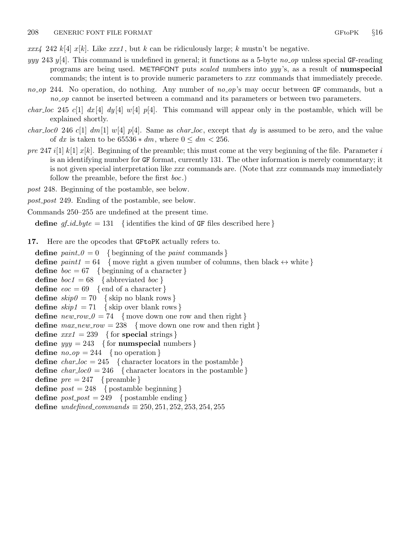<span id="page-7-0"></span> $xxx/4$  242 k[4] x[k]. Like  $xxx/1$ , but k can be ridiculously large; k mustn't be negative.

- yyy 243 y[4]. This command is undefined in general; it functions as a 5-byte no op unless special GF-reading programs are being used. METAFONT puts scaled numbers into yyy 's, as a result of numspecial commands; the intent is to provide numeric parameters to xxx commands that immediately precede.
- $no\_op$  244. No operation, do nothing. Any number of  $no\_op$ 's may occur between GF commands, but a no op cannot be inserted between a command and its parameters or between two parameters.
- *char loc* 245 c[1]  $dx$  [4]  $dy$  [4]  $w$  [4]  $p$  [4]. This command will appear only in the postamble, which will be explained shortly.
- *char loc0* 246 c[1]  $dm[1]$  w[4] p[4]. Same as *char loc*, except that dy is assumed to be zero, and the value of dx is taken to be  $65536 * dm$ , where  $0 \leq dm < 256$ .
- pre 247 i[1] k[1]  $x[k]$ . Beginning of the preamble; this must come at the very beginning of the file. Parameter i is an identifying number for GF format, currently 131. The other information is merely commentary; it is not given special interpretation like xxx commands are. (Note that xxx commands may immediately follow the preamble, before the first boc.)
- post 248. Beginning of the postamble, see below.
- post post 249. Ending of the postamble, see below.
- Commands 250–255 are undefined at the present time.

define  $gf_id\_byte = 131$  { identifies the kind of GF files described here }

17. Here are the opcodes that GFtoPK actually refers to.

define  $paint_0 = 0$  { beginning of the *paint* commands } define  $paint1 = 64$  {move right a given number of columns, then black  $\leftrightarrow$  white } define  $boc = 67$  { beginning of a character } **define**  $boc1 = 68$  { abbreviated  $boc$  } **define**  $eoc = 69$  {end of a character} define  $skip0 = 70$  { skip no blank rows } define  $skip_1 = 71$  { skip over blank rows } define  $new_{1} = 74$  {move down one row and then right} define  $max_new_{row} = 238$  {move down one row and then right} define  $xxx1 = 239$  { for special strings } define  $yyy = 243$  { for numspecial numbers } define  $no\_op = 244$  { no operation } define  $char\_loc = 245$  { character locators in the postamble } define  $char\_loc0 = 246$  { character locators in the postamble } define  $pre = 247$  { preamble } define  $post = 248$  { postamble beginning } define  $post\_post = 249$  { postamble ending } define undefined\_commands  $\equiv 250, 251, 252, 253, 254, 255$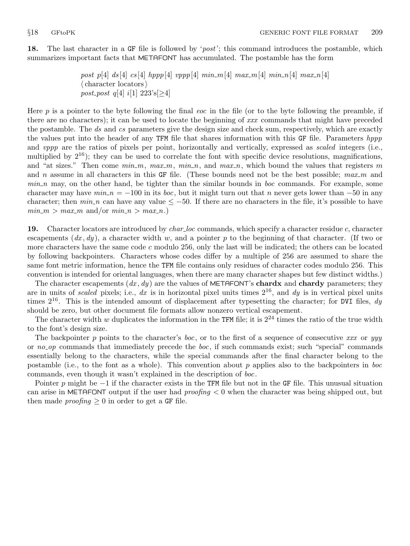<span id="page-8-0"></span>18. The last character in a GF file is followed by '*post*'; this command introduces the postamble, which summarizes important facts that METAFONT has accumulated. The postamble has the form

> post p[4] ds [4] cs [4] hppp [4] vppp [4] min\_m [4] max\_m [4] min\_n [4] max\_n [4]  $\langle$  character locators $\rangle$ post\_post q[4] i[1]  $223$ 's[ $\geq 4$ ]

Here  $p$  is a pointer to the byte following the final *eoc* in the file (or to the byte following the preamble, if there are no characters); it can be used to locate the beginning of xxx commands that might have preceded the postamble. The ds and cs parameters give the design size and check sum, respectively, which are exactly the values put into the header of any TFM file that shares information with this GF file. Parameters hppp and *vppp* are the ratios of pixels per point, horizontally and vertically, expressed as *scaled* integers (i.e., multiplied by  $2^{16}$ ); they can be used to correlate the font with specific device resolutions, magnifications, and "at sizes." Then come  $min_m$ ,  $max_m$ ,  $min_n$ , and  $max_n$ , which bound the values that registers m and n assume in all characters in this GF file. (These bounds need not be the best possible;  $max_m$  and  $min\_n$  may, on the other hand, be tighter than the similar bounds in *boc* commands. For example, some character may have  $min \ n = -100$  in its boc, but it might turn out that n never gets lower than  $-50$  in any character; then  $min_n$  can have any value  $\leq -50$ . If there are no characters in the file, it's possible to have  $min_m > max_m$  and/or  $min_n > max_n$ .

19. Character locators are introduced by *char-loc* commands, which specify a character residue c, character escapements  $(dx, dy)$ , a character width w, and a pointer p to the beginning of that character. (If two or more characters have the same code c modulo 256, only the last will be indicated; the others can be located by following backpointers. Characters whose codes differ by a multiple of 256 are assumed to share the same font metric information, hence the TFM file contains only residues of character codes modulo 256. This convention is intended for oriental languages, when there are many character shapes but few distinct widths.)

The character escapements  $(dx, dy)$  are the values of METAFONT's chardx and chardy parameters; they are in units of scaled pixels; i.e., dx is in horizontal pixel units times  $2^{16}$ , and dy is in vertical pixel units times  $2^{16}$ . This is the intended amount of displacement after typesetting the character; for DVI files,  $dy$ should be zero, but other document file formats allow nonzero vertical escapement.

The character width w duplicates the information in the TFM file; it is  $2^{24}$  times the ratio of the true width to the font's design size.

The backpointer p points to the character's boc, or to the first of a sequence of consecutive xxx or yyy or no op commands that immediately precede the boc, if such commands exist; such "special" commands essentially belong to the characters, while the special commands after the final character belong to the postamble (i.e., to the font as a whole). This convention about p applies also to the backpointers in boc commands, even though it wasn't explained in the description of boc.

Pointer p might be  $-1$  if the character exists in the TFM file but not in the GF file. This unusual situation can arise in METAFONT output if the user had *proofing*  $\lt 0$  when the character was being shipped out, but then made *proofing*  $\geq 0$  in order to get a GF file.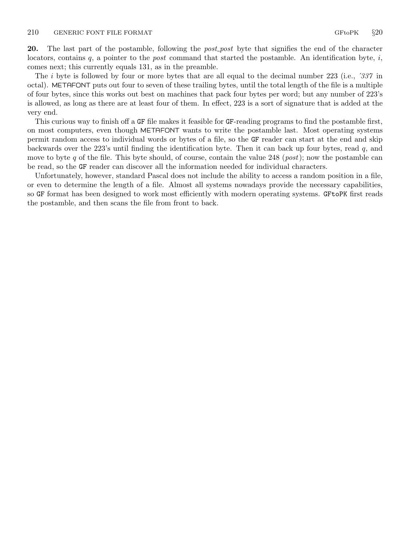<span id="page-9-0"></span>20. The last part of the postamble, following the *post-post* byte that signifies the end of the character locators, contains  $q$ , a pointer to the *post* command that started the postamble. An identification byte,  $i$ , comes next; this currently equals 131, as in the preamble.

The *i* byte is followed by four or more bytes that are all equal to the decimal number 223 (i.e., *337* in octal). METAFONT puts out four to seven of these trailing bytes, until the total length of the file is a multiple of four bytes, since this works out best on machines that pack four bytes per word; but any number of 223's is allowed, as long as there are at least four of them. In effect, 223 is a sort of signature that is added at the very end.

This curious way to finish off a GF file makes it feasible for GF-reading programs to find the postamble first, on most computers, even though METAFONT wants to write the postamble last. Most operating systems permit random access to individual words or bytes of a file, so the GF reader can start at the end and skip backwards over the 223's until finding the identification byte. Then it can back up four bytes, read q, and move to byte q of the file. This byte should, of course, contain the value 248 (*post*); now the postamble can be read, so the GF reader can discover all the information needed for individual characters.

Unfortunately, however, standard Pascal does not include the ability to access a random position in a file, or even to determine the length of a file. Almost all systems nowadays provide the necessary capabilities, so GF format has been designed to work most efficiently with modern operating systems. GFtoPK first reads the postamble, and then scans the file from front to back.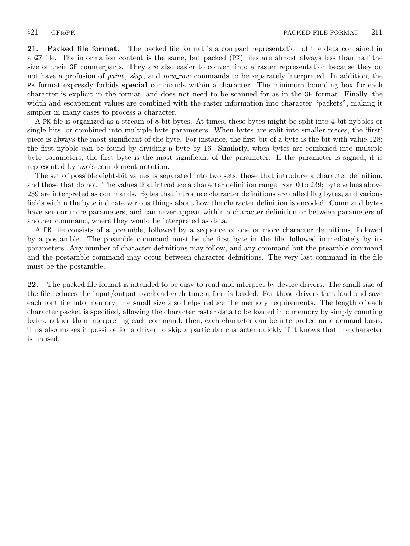<span id="page-10-0"></span>21. Packed file format. The packed file format is a compact representation of the data contained in a GF file. The information content is the same, but packed (PK) files are almost always less than half the size of their GF counterparts. They are also easier to convert into a raster representation because they do not have a profusion of *paint*, *skip*, and *new row* commands to be separately interpreted. In addition, the PK format expressly forbids special commands within a character. The minimum bounding box for each character is explicit in the format, and does not need to be scanned for as in the GF format. Finally, the width and escapement values are combined with the raster information into character "packets", making it simpler in many cases to process a character.

A PK file is organized as a stream of 8-bit bytes. At times, these bytes might be split into 4-bit nybbles or single bits, or combined into multiple byte parameters. When bytes are split into smaller pieces, the 'first' piece is always the most significant of the byte. For instance, the first bit of a byte is the bit with value 128; the first nybble can be found by dividing a byte by 16. Similarly, when bytes are combined into multiple byte parameters, the first byte is the most significant of the parameter. If the parameter is signed, it is represented by two's-complement notation.

The set of possible eight-bit values is separated into two sets, those that introduce a character definition, and those that do not. The values that introduce a character definition range from 0 to 239; byte values above 239 are interpreted as commands. Bytes that introduce character definitions are called flag bytes, and various fields within the byte indicate various things about how the character definition is encoded. Command bytes have zero or more parameters, and can never appear within a character definition or between parameters of another command, where they would be interpreted as data.

A PK file consists of a preamble, followed by a sequence of one or more character definitions, followed by a postamble. The preamble command must be the first byte in the file, followed immediately by its parameters. Any number of character definitions may follow, and any command but the preamble command and the postamble command may occur between character definitions. The very last command in the file must be the postamble.

22. The packed file format is intended to be easy to read and interpret by device drivers. The small size of the file reduces the input/output overhead each time a font is loaded. For those drivers that load and save each font file into memory, the small size also helps reduce the memory requirements. The length of each character packet is specified, allowing the character raster data to be loaded into memory by simply counting bytes, rather than interpreting each command; then, each character can be interpreted on a demand basis. This also makes it possible for a driver to skip a particular character quickly if it knows that the character is unused.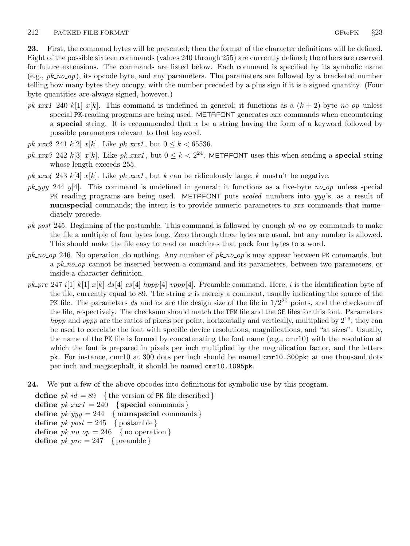<span id="page-11-0"></span>23. First, the command bytes will be presented; then the format of the character definitions will be defined. Eight of the possible sixteen commands (values 240 through 255) are currently defined; the others are reserved for future extensions. The commands are listed below. Each command is specified by its symbolic name  $(e.g., pk-no-op)$ , its opcode byte, and any parameters. The parameters are followed by a bracketed number telling how many bytes they occupy, with the number preceded by a plus sign if it is a signed quantity. (Four byte quantities are always signed, however.)

- pk xxx1 240 k[1] x[k]. This command is undefined in general; it functions as a  $(k + 2)$ -byte no op unless special PK-reading programs are being used. METAFONT generates xxx commands when encountering a special string. It is recommended that  $x$  be a string having the form of a keyword followed by possible parameters relevant to that keyword.
- *pk\_xxx2* 241  $k[2]$  *x*[ $k$ ]. Like *pk\_xxx1*, but  $0 \le k < 65536$ .
- pk xxx3 242 k[3] x[k]. Like pk xxx1, but  $0 \le k < 2^{24}$ . METAFONT uses this when sending a **special** string whose length exceeds 255.
- pk\_xxx4 243 k[4] x[k]. Like pk\_xxx1, but k can be ridiculously large; k mustn't be negative.
- $pk_{\mathcal{A}}$  y/4. This command is undefined in general; it functions as a five-byte no op unless special PK reading programs are being used. METAFONT puts *scaled* numbers into yyy's, as a result of numspecial commands; the intent is to provide numeric parameters to xxx commands that immediately precede.
- $pk\_post$  245. Beginning of the postamble. This command is followed by enough  $pk\_no\_op$  commands to make the file a multiple of four bytes long. Zero through three bytes are usual, but any number is allowed. This should make the file easy to read on machines that pack four bytes to a word.
- $pk_{10}$  246. No operation, do nothing. Any number of  $pk_{10}$  op's may appear between PK commands, but a pk no op cannot be inserted between a command and its parameters, between two parameters, or inside a character definition.
- pk pre 247 i[1] k[1]  $x[k]$  ds [4] cs [4] hppp[4] vppp[4]. Preamble command. Here, i is the identification byte of the file, currently equal to 89. The string  $x$  is merely a comment, usually indicating the source of the PK file. The parameters ds and cs are the design size of the file in  $1/2^{20}$  points, and the checksum of the file, respectively. The checksum should match the TFM file and the GF files for this font. Parameters *hppp* and *vppp* are the ratios of pixels per point, horizontally and vertically, multiplied by  $2^{16}$ ; they can be used to correlate the font with specific device resolutions, magnifications, and "at sizes". Usually, the name of the PK file is formed by concatenating the font name (e.g., cmr10) with the resolution at which the font is prepared in pixels per inch multiplied by the magnification factor, and the letters pk. For instance, cmr10 at 300 dots per inch should be named cmr10.300pk; at one thousand dots per inch and magstephalf, it should be named cmr10.1095pk.
- 24. We put a few of the above opcodes into definitions for symbolic use by this program.

define  $pk\_id = 89$  {the version of PK file described } define  $pk\_xxx1 = 240$  {special commands} define  $pk\_yyy = 244$  { numspecial commands } define  $pk\_post = 245$  { postamble } define  $pk\_no\_op = 246$  { no operation } define  $pk\_pre = 247$  { preamble }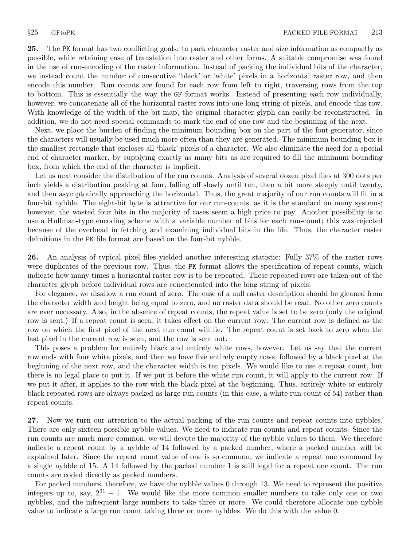25. The PK format has two conflicting goals: to pack character raster and size information as compactly as possible, while retaining ease of translation into raster and other forms. A suitable compromise was found in the use of run-encoding of the raster information. Instead of packing the individual bits of the character, we instead count the number of consecutive 'black' or 'white' pixels in a horizontal raster row, and then encode this number. Run counts are found for each row from left to right, traversing rows from the top to bottom. This is essentially the way the GF format works. Instead of presenting each row individually, however, we concatenate all of the horizontal raster rows into one long string of pixels, and encode this row. With knowledge of the width of the bit-map, the original character glyph can easily be reconstructed. In addition, we do not need special commands to mark the end of one row and the beginning of the next.

Next, we place the burden of finding the minimum bounding box on the part of the font generator, since the characters will usually be used much more often than they are generated. The minimum bounding box is the smallest rectangle that encloses all 'black' pixels of a character. We also eliminate the need for a special end of character marker, by supplying exactly as many bits as are required to fill the minimum bounding box, from which the end of the character is implicit.

Let us next consider the distribution of the run counts. Analysis of several dozen pixel files at 300 dots per inch yields a distribution peaking at four, falling off slowly until ten, then a bit more steeply until twenty, and then asymptotically approaching the horizontal. Thus, the great majority of our run counts will fit in a four-bit nybble. The eight-bit byte is attractive for our run-counts, as it is the standard on many systems; however, the wasted four bits in the majority of cases seem a high price to pay. Another possibility is to use a Huffman-type encoding scheme with a variable number of bits for each run-count; this was rejected because of the overhead in fetching and examining individual bits in the file. Thus, the character raster definitions in the PK file format are based on the four-bit nybble.

26. An analysis of typical pixel files yielded another interesting statistic: Fully 37% of the raster rows were duplicates of the previous row. Thus, the PK format allows the specification of repeat counts, which indicate how many times a horizontal raster row is to be repeated. These repeated rows are taken out of the character glyph before individual rows are concatenated into the long string of pixels.

For elegance, we disallow a run count of zero. The case of a null raster description should be gleaned from the character width and height being equal to zero, and no raster data should be read. No other zero counts are ever necessary. Also, in the absence of repeat counts, the repeat value is set to be zero (only the original row is sent.) If a repeat count is seen, it takes effect on the current row. The current row is defined as the row on which the first pixel of the next run count will lie. The repeat count is set back to zero when the last pixel in the current row is seen, and the row is sent out.

This poses a problem for entirely black and entirely white rows, however. Let us say that the current row ends with four white pixels, and then we have five entirely empty rows, followed by a black pixel at the beginning of the next row, and the character width is ten pixels. We would like to use a repeat count, but there is no legal place to put it. If we put it before the white run count, it will apply to the current row. If we put it after, it applies to the row with the black pixel at the beginning. Thus, entirely white or entirely black repeated rows are always packed as large run counts (in this case, a white run count of 54) rather than repeat counts.

27. Now we turn our attention to the actual packing of the run counts and repeat counts into nybbles. There are only sixteen possible nybble values. We need to indicate run counts and repeat counts. Since the run counts are much more common, we will devote the majority of the nybble values to them. We therefore indicate a repeat count by a nybble of 14 followed by a packed number, where a packed number will be explained later. Since the repeat count value of one is so common, we indicate a repeat one command by a single nybble of 15. A 14 followed by the packed number 1 is still legal for a repeat one count. The run counts are coded directly as packed numbers.

For packed numbers, therefore, we have the nybble values 0 through 13. We need to represent the positive integers up to, say,  $2^{31} - 1$ . We would like the more common smaller numbers to take only one or two nybbles, and the infrequent large numbers to take three or more. We could therefore allocate one nybble value to indicate a large run count taking three or more nybbles. We do this with the value 0.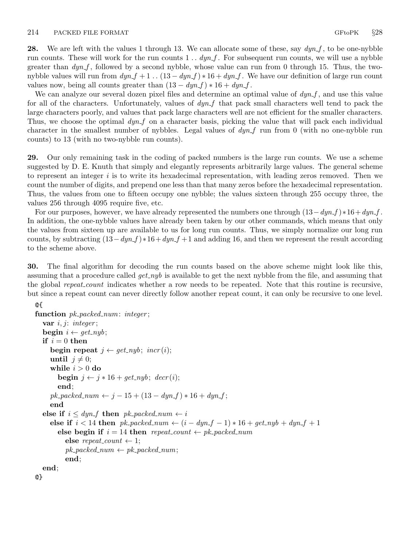<span id="page-13-0"></span>**28.** We are left with the values 1 through 13. We can allocate some of these, say  $dyn_f$ , to be one-nybble run counts. These will work for the run counts  $1 \dots dyn.f$ . For subsequent run counts, we will use a nybble greater than  $dyn.f$ , followed by a second nybble, whose value can run from 0 through 15. Thus, the twonybble values will run from  $dyn_f + 1$ . .  $(13 - dyn_f) * 16 + dyn_f$ . We have our definition of large run count values now, being all counts greater than  $(13 - dyn_f) * 16 + dyn_f$ .

We can analyze our several dozen pixel files and determine an optimal value of  $dyn_f$ , and use this value for all of the characters. Unfortunately, values of  $dyn_{-}f$  that pack small characters well tend to pack the large characters poorly, and values that pack large characters well are not efficient for the smaller characters. Thus, we choose the optimal  $dyn<sub>-</sub>f$  on a character basis, picking the value that will pack each individual character in the smallest number of nybbles. Legal values of  $dyn$  f run from 0 (with no one-nybble run counts) to 13 (with no two-nybble run counts).

29. Our only remaining task in the coding of packed numbers is the large run counts. We use a scheme suggested by D. E. Knuth that simply and elegantly represents arbitrarily large values. The general scheme to represent an integer  $i$  is to write its hexadecimal representation, with leading zeros removed. Then we count the number of digits, and prepend one less than that many zeros before the hexadecimal representation. Thus, the values from one to fifteen occupy one nybble; the values sixteen through 255 occupy three, the values 256 through 4095 require five, etc.

For our purposes, however, we have already represented the numbers one through  $(13-dyn_f) *16+dyn_f$ . In addition, the one-nybble values have already been taken by our other commands, which means that only the values from sixteen up are available to us for long run counts. Thus, we simply normalize our long run counts, by subtracting  $(13-dyn_f) * 16+dyn_f +1$  and adding 16, and then we represent the result according to the scheme above.

30. The final algorithm for decoding the run counts based on the above scheme might look like this, assuming that a procedure called  $get_nyb$  is available to get the next nybble from the file, and assuming that the global *repeat\_count* indicates whether a row needs to be repeated. Note that this routine is recursive, but since a repeat count can never directly follow another repeat count, it can only be recursive to one level.

```
@{
function pk-packed_num: integer;
  var i, j: integer;
  begin i \leftarrow get\_nyb;
  if i = 0 then
     begin repeat j \leftarrow get\_nyb; incr(i);
     until j \neq 0;while i > 0 do
       begin j \leftarrow j * 16 + get_n y b; decr(i);
       end;
     pk\_ packed\_num \leftarrow j - 15 + (13 - dyn\_f) * 16 + dyn\_f;end
  else if i \leq dyn_f then pk\_packet\_num \leftarrow ielse if i < 14 then pk_packed_num \leftarrow (i - dyn_f - 1) * 16 + get_n y b + dyn_f + 1else begin if i = 14 then repeat count \leftarrow pk-packed num
          else repeat_count \leftarrow 1;
          pk\_packet1num \leftarrow pk\_packet1num;end;
  end;
@}
```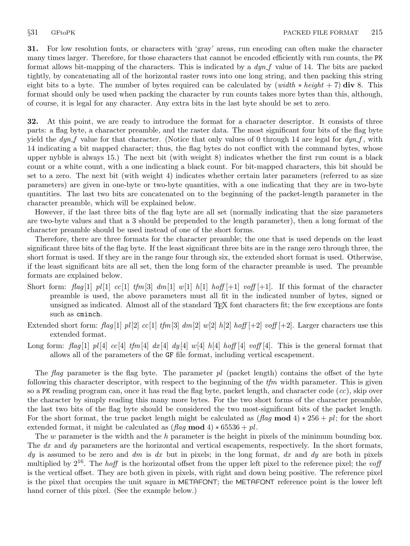<span id="page-14-0"></span>31. For low resolution fonts, or characters with 'gray' areas, run encoding can often make the character many times larger. Therefore, for those characters that cannot be encoded efficiently with run counts, the PK format allows bit-mapping of the characters. This is indicated by a  $dyn<sub>-f</sub>$  value of 14. The bits are packed tightly, by concatenating all of the horizontal raster rows into one long string, and then packing this string eight bits to a byte. The number of bytes required can be calculated by (width  $\ast$  height + 7) div 8. This format should only be used when packing the character by run counts takes more bytes than this, although, of course, it is legal for any character. Any extra bits in the last byte should be set to zero.

32. At this point, we are ready to introduce the format for a character descriptor. It consists of three parts: a flag byte, a character preamble, and the raster data. The most significant four bits of the flag byte yield the  $dyn_f$  value for that character. (Notice that only values of 0 through 14 are legal for  $dyn_f$ , with 14 indicating a bit mapped character; thus, the flag bytes do not conflict with the command bytes, whose upper nybble is always 15.) The next bit (with weight 8) indicates whether the first run count is a black count or a white count, with a one indicating a black count. For bit-mapped characters, this bit should be set to a zero. The next bit (with weight 4) indicates whether certain later parameters (referred to as size parameters) are given in one-byte or two-byte quantities, with a one indicating that they are in two-byte quantities. The last two bits are concatenated on to the beginning of the packet-length parameter in the character preamble, which will be explained below.

However, if the last three bits of the flag byte are all set (normally indicating that the size parameters are two-byte values and that a 3 should be prepended to the length parameter), then a long format of the character preamble should be used instead of one of the short forms.

Therefore, there are three formats for the character preamble; the one that is used depends on the least significant three bits of the flag byte. If the least significant three bits are in the range zero through three, the short format is used. If they are in the range four through six, the extended short format is used. Otherwise, if the least significant bits are all set, then the long form of the character preamble is used. The preamble formats are explained below.

- Short form: flag |1| pl|1| cc|1| tfm|3| dm|1| w|1| h|1| hoff  $|+1|$  voff  $|+1|$ . If this format of the character preamble is used, the above parameters must all fit in the indicated number of bytes, signed or unsigned as indicated. Almost all of the standard TEX font characters fit; the few exceptions are fonts such as cminch.
- Extended short form: flag [1]  $pl[2]$  cc[1] tfm[3] dm[2] w[2] h[2] hoff [+2] voff [+2]. Larger characters use this extended format.
- Long form: flag [1] pl [4] cc [4] tfm [4] dx [4] dy [4] w[4] h [4] hoff [4] voff [4]. This is the general format that allows all of the parameters of the GF file format, including vertical escapement.

The flag parameter is the flag byte. The parameter  $pl$  (packet length) contains the offset of the byte following this character descriptor, with respect to the beginning of the  $t/m$  width parameter. This is given so a PK reading program can, once it has read the flag byte, packet length, and character code  $(cc)$ , skip over the character by simply reading this many more bytes. For the two short forms of the character preamble, the last two bits of the flag byte should be considered the two most-significant bits of the packet length. For the short format, the true packet length might be calculated as  $(\text{flag mod } 4) * 256 + \text{pl}$ ; for the short extended format, it might be calculated as  $(\text{flag mod } 4) * 65536 + \text{pl}$ .

The w parameter is the width and the h parameter is the height in pixels of the minimum bounding box. The dx and dy parameters are the horizontal and vertical escapements, respectively. In the short formats, dy is assumed to be zero and dm is dx but in pixels; in the long format, dx and dy are both in pixels multiplied by  $2^{16}$ . The *hoff* is the horizontal offset from the upper left pixel to the reference pixel; the voff is the vertical offset. They are both given in pixels, with right and down being positive. The reference pixel is the pixel that occupies the unit square in METAFONT; the METAFONT reference point is the lower left hand corner of this pixel. (See the example below.)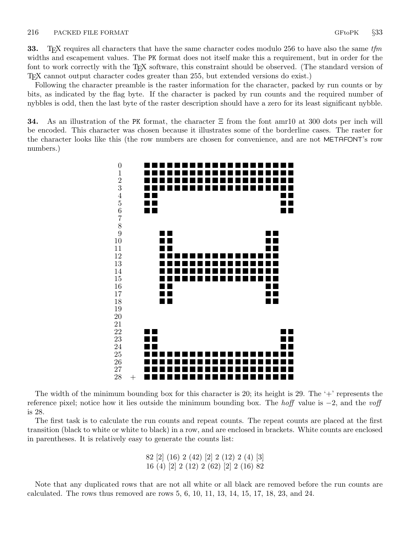<span id="page-15-0"></span>**33.** T<sub>E</sub>X requires all characters that have the same character codes modulo 256 to have also the same  $t/m$ widths and escapement values. The PK format does not itself make this a requirement, but in order for the font to work correctly with the T<sub>E</sub>X software, this constraint should be observed. (The standard version of TEX cannot output character codes greater than 255, but extended versions do exist.)

Following the character preamble is the raster information for the character, packed by run counts or by bits, as indicated by the flag byte. If the character is packed by run counts and the required number of nybbles is odd, then the last byte of the raster description should have a zero for its least significant nybble.

**34.** As an illustration of the PK format, the character  $\Xi$  from the font amr10 at 300 dots per inch will be encoded. This character was chosen because it illustrates some of the borderline cases. The raster for the character looks like this (the row numbers are chosen for convenience, and are not METAFONT's row numbers.)



The width of the minimum bounding box for this character is 20; its height is 29. The  $+$  represents the reference pixel; notice how it lies outside the minimum bounding box. The *hoff* value is  $-2$ , and the voff is 28.

The first task is to calculate the run counts and repeat counts. The repeat counts are placed at the first transition (black to white or white to black) in a row, and are enclosed in brackets. White counts are enclosed in parentheses. It is relatively easy to generate the counts list:

> 82 [2] (16) 2 (42) [2] 2 (12) 2 (4) [3] 16 (4) [2] 2 (12) 2 (62) [2] 2 (16) 82

Note that any duplicated rows that are not all white or all black are removed before the run counts are calculated. The rows thus removed are rows 5, 6, 10, 11, 13, 14, 15, 17, 18, 23, and 24.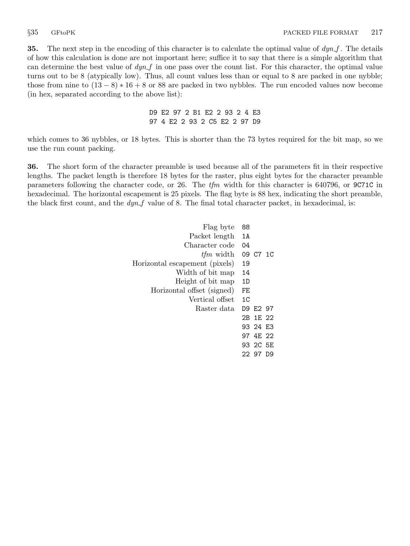<span id="page-16-0"></span>**35.** The next step in the encoding of this character is to calculate the optimal value of  $dyn_f$ . The details of how this calculation is done are not important here; suffice it to say that there is a simple algorithm that can determine the best value of  $dyn$  in one pass over the count list. For this character, the optimal value turns out to be 8 (atypically low). Thus, all count values less than or equal to 8 are packed in one nybble; those from nine to  $(13-8)*16+8$  or 88 are packed in two nybbles. The run encoded values now become (in hex, separated according to the above list):

> D9 E2 97 2 B1 E2 2 93 2 4 E3 97 4 E2 2 93 2 C5 E2 2 97 D9

which comes to 36 nybbles, or 18 bytes. This is shorter than the 73 bytes required for the bit map, so we use the run count packing.

36. The short form of the character preamble is used because all of the parameters fit in their respective lengths. The packet length is therefore 18 bytes for the raster, plus eight bytes for the character preamble parameters following the character code, or 26. The  $t/m$  width for this character is 640796, or 9C71C in hexadecimal. The horizontal escapement is 25 pixels. The flag byte is 88 hex, indicating the short preamble, the black first count, and the  $dyn$ -f value of 8. The final total character packet, in hexadecimal, is:

| Flag byte                      | 88             |           |  |
|--------------------------------|----------------|-----------|--|
| Packet length                  | 1A             |           |  |
| Character code                 | 04             |           |  |
| <i>tfm</i> width               |                | 09 C7 1C  |  |
| Horizontal escapement (pixels) | 19             |           |  |
| Width of bit map               | 14             |           |  |
| Height of bit map              | 1D             |           |  |
| Horizontal offset (signed)     | FE             |           |  |
| Vertical offset                | 1 <sup>C</sup> |           |  |
| Raster data                    |                | D9 E2 97  |  |
|                                |                | 2B 1E 22  |  |
|                                |                | 93 24 F.3 |  |
|                                |                | 97 4E 22  |  |
|                                |                | 93 2C 5E  |  |
|                                |                | 22 97 D.9 |  |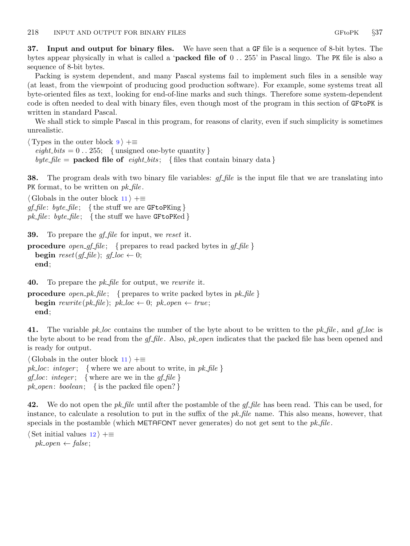<span id="page-17-0"></span>37. Input and output for binary files. We have seen that a GF file is a sequence of 8-bit bytes. The bytes appear physically in what is called a '**packed file of**  $0 \dots 255$ ' in Pascal lingo. The PK file is also a sequence of 8-bit bytes.

Packing is system dependent, and many Pascal systems fail to implement such files in a sensible way (at least, from the viewpoint of producing good production software). For example, some systems treat all byte-oriented files as text, looking for end-of-line marks and such things. Therefore some system-dependent code is often needed to deal with binary files, even though most of the program in this section of GFtoPK is written in standard Pascal.

We shall stick to simple Pascal in this program, for reasons of clarity, even if such simplicity is sometimes unrealistic.

 $\langle$  Types in the outer block [9](#page-3-0)  $\rangle$  +≡  $\text{eight\_bits} = 0$ . 255; {unsigned one-byte quantity} byte file = **packed file of** eight bits; { files that contain binary data }

**38.** The program deals with two binary file variables:  $gf$ -file is the input file that we are translating into PK format, to be written on  $pk$ -file.

 $\langle$  Globals in the outer block [11](#page-3-0)  $\rangle$  +≡  $gf$ -file: byte-file; {the stuff we are GFtoPKing} pk file: byte file; {the stuff we have GF to PKed}

**39.** To prepare the  $gf$ -file for input, we reset it.

**procedure** open gf-file; { prepares to read packed bytes in  $gf$ -file } **begin** reset(gf-file);  $gf\text{-}loc \leftarrow 0$ ; end;

**40.** To prepare the  $pk$ -file for output, we rewrite it.

**procedure** open  $pk$  file; { prepares to write packed bytes in  $pk$  file } **begin** rewrite(pk\_file); pk\_loc  $\leftarrow$  0; pk\_open  $\leftarrow$  true; end;

41. The variable pk loc contains the number of the byte about to be written to the pk file, and gf loc is the byte about to be read from the  $gf_{\perp}$  file. Also, pk open indicates that the packed file has been opened and is ready for output.

 $\langle$  Globals in the outer block [11](#page-3-0)  $\rangle$  +≡ pk loc: integer; { where we are about to write, in  $pk$ -file }  $gf\_loc: \text{ integer};$  {where are we in the  $gf\_file$ }  $pk\_open: boolean; \{ is the packed file open? \}$ 

42. We do not open the *pk\_file* until after the postamble of the  $gf$ -*file* has been read. This can be used, for instance, to calculate a resolution to put in the suffix of the  $pk$ -file name. This also means, however, that specials in the postamble (which METAFONT never generates) do not get sent to the  $pk\_file$ .

 $\langle$  Set initial values [12](#page-4-0)  $\rangle$  +≡  $pk\_open \leftarrow false;$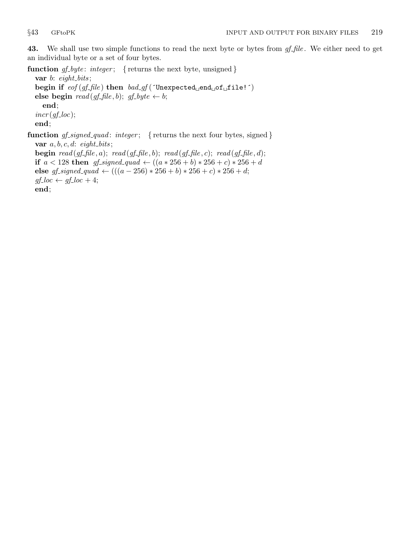<span id="page-18-0"></span>43. We shall use two simple functions to read the next byte or bytes from gf-file. We either need to get an individual byte or a set of four bytes.

function  $gf\_byte$ : integer; { returns the next byte, unsigned }

var  $b$ : eight\_bits; begin if  $\text{eof}(\text{gf}\text{-}\text{file})$  then  $\text{bad}\text{-}\text{gf}$  ('Unexpected end of file!') else begin  $read(gf_{\textit{f}}\hat{h}le, b); gf_{\textit{f}}\hat{h}yte \leftarrow b;$ end;  $incr(gf\_loc);$ end; function  $gf\_signed\_quad$ : integer; { returns the next four bytes, signed }

var  $a, b, c, d$ : eight\_bits; **begin** read  $(gf$ -file, a); read  $(gf$ -file, b); read  $(gf$ -file, c); read  $(gf$ -file, d); if *a* < 128 then *gf\_signed\_quad* ←  $((a * 256 + b) * 256 + c) * 256 + d$ else gf\_signed\_quad  $\leftarrow (((a - 256) * 256 + b) * 256 + c) * 256 + d;$ 

 $gf\_loc \leftarrow gf\_loc + 4;$ 

end;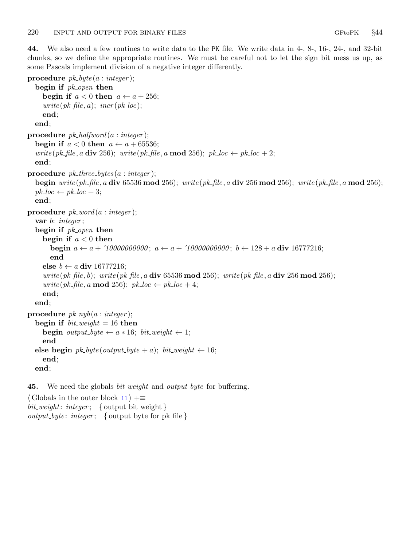<span id="page-19-0"></span>44. We also need a few routines to write data to the PK file. We write data in 4-, 8-, 16-, 24-, and 32-bit chunks, so we define the appropriate routines. We must be careful not to let the sign bit mess us up, as some Pascals implement division of a negative integer differently.

```
procedure pk\_byte(a : integer);begin if pk\_open then
     begin if a < 0 then a \leftarrow a + 256;
     write (pk\_file, a); incr (pk\_loc);end;
  end;
procedure pk\_halfword(a : integer);begin if a < 0 then a \leftarrow a + 65536;
  write (pk_file, a div 256); write (pk_file, a mod 256); pk_loc \leftarrow pk_loc + 2;
  end;
procedure pk\_three\_bytes(a:integer);begin write (pk_file, a div 65536 mod 256); write (pk_file, a div 256 mod 256); write (pk_file, a mod 256);
  pk\_loc \leftarrow pk\_loc + 3;end;
procedure pk\_word(a : integer);var b: integer;
  begin if pk\_{open} then
     begin if a < 0 then
       begin a \leftarrow a + 10000000000; a \leftarrow a + 10000000000; b \leftarrow 128 + a div 16777216;
       end
     else b \leftarrow a div 16777216;
     write (pk-file, b); write (pk-file, a div 65536 mod 256); write (pk-file, a div 256 mod 256);
     write (pk_file, a mod 256); pk_loc \leftarrow pk_loc + 4;
     end;
  end;
procedure pk_nyb(a:integer);begin if bit\_weight = 16 then
     begin output_byte \leftarrow a * 16; bit_weight \leftarrow 1;
     end
  else begin pk\_byte(output\_byte + a); bit\_weight \leftarrow 16;end;
  end;
```
**45.** We need the globals *bit weight* and *output byte* for buffering.

 $\langle$  Globals in the outer block [11](#page-3-0)  $\rangle$  +≡  $bit\_weight:$  integer; { output bit weight }  $output\_byte: \ integer; \ \{output\_byte \ for \ pk \ file \}$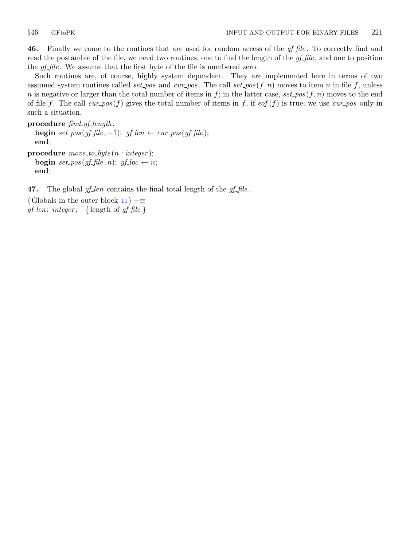<span id="page-20-0"></span>**46.** Finally we come to the routines that are used for random access of the  $gf$ -file. To correctly find and read the postamble of the file, we need two routines, one to find the length of the  $gf$ -file, and one to position the *gf-file*. We assume that the first byte of the file is numbered zero.

Such routines are, of course, highly system dependent. They are implemented here in terms of two assumed system routines called set pos and cur pos. The call set pos  $(f, n)$  moves to item n in file f, unless n is negative or larger than the total number of items in f; in the latter case, set pos(f, n) moves to the end of file f. The call cur pos (f) gives the total number of items in f, if  $\epsilon$  eof (f) is true; we use cur pos only in such a situation.

procedure  $find\_gf\_length;$ **begin** set\_pos(gf\_file, -1); gf\_len  $\leftarrow cur\_pos(gf_{\perp}file);$ end; procedure  $move_to_byte(n:integer);$ begin set\_pos(gf\_file, n); gf\_loc  $\leftarrow$  n; end;

47. The global  $gf_{\text{-}}len$  contains the final total length of the  $gf_{\text{-}}file$ .

 $\langle$  Globals in the outer block [11](#page-3-0)  $\rangle$  +≡  $gf\_len: integer; \{ length of gf\_file \}$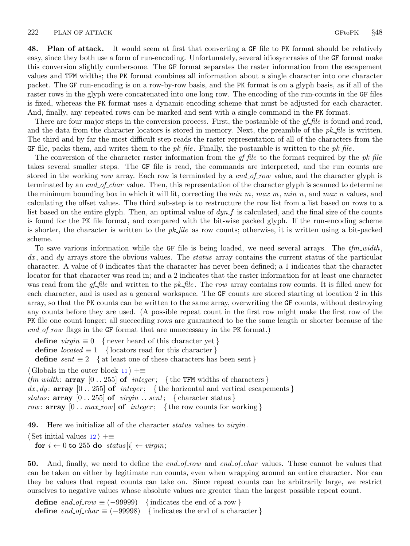<span id="page-21-0"></span>48. Plan of attack. It would seem at first that converting a GF file to PK format should be relatively easy, since they both use a form of run-encoding. Unfortunately, several idiosyncrasies of the GF format make this conversion slightly cumbersome. The GF format separates the raster information from the escapement values and TFM widths; the PK format combines all information about a single character into one character packet. The GF run-encoding is on a row-by-row basis, and the PK format is on a glyph basis, as if all of the raster rows in the glyph were concatenated into one long row. The encoding of the run-counts in the GF files is fixed, whereas the PK format uses a dynamic encoding scheme that must be adjusted for each character. And, finally, any repeated rows can be marked and sent with a single command in the PK format.

There are four major steps in the conversion process. First, the postamble of the  $gf$ -file is found and read, and the data from the character locators is stored in memory. Next, the preamble of the  $pk$ -file is written. The third and by far the most difficult step reads the raster representation of all of the characters from the GF file, packs them, and writes them to the  $pk$ -file. Finally, the postamble is written to the  $pk$ -file.

The conversion of the character raster information from the  $qf$ -file to the format required by the pk-file takes several smaller steps. The GF file is read, the commands are interpreted, and the run counts are stored in the working row array. Each row is terminated by a end of row value, and the character glyph is terminated by an end of char value. Then, this representation of the character glyph is scanned to determine the minimum bounding box in which it will fit, correcting the  $min_m$ ,  $max_m$ ,  $min_n$ , and  $max_n$  values, and calculating the offset values. The third sub-step is to restructure the row list from a list based on rows to a list based on the entire glyph. Then, an optimal value of  $dyn.f$  is calculated, and the final size of the counts is found for the PK file format, and compared with the bit-wise packed glyph. If the run-encoding scheme is shorter, the character is written to the  $pk$ -file as row counts; otherwise, it is written using a bit-packed scheme.

To save various information while the GF file is being loaded, we need several arrays. The  $tfm\_width$ ,  $dx$ , and  $dy$  arrays store the obvious values. The *status* array contains the current status of the particular character. A value of 0 indicates that the character has never been defined; a 1 indicates that the character locator for that character was read in; and a 2 indicates that the raster information for at least one character was read from the  $gf$ -file and written to the  $pk$ -file. The row array contains row counts. It is filled anew for each character, and is used as a general workspace. The GF counts are stored starting at location 2 in this array, so that the PK counts can be written to the same array, overwriting the GF counts, without destroying any counts before they are used. (A possible repeat count in the first row might make the first row of the PK file one count longer; all succeeding rows are guaranteed to be the same length or shorter because of the  $end_{of\_row}$  flags in the GF format that are unnecessary in the PK format.)

define *virgin*  $\equiv 0$  { never heard of this character yet } define *located*  $\equiv 1$  { locators read for this character } define  $sent \equiv 2$  { at least one of these characters has been sent }  $\langle$  Globals in the outer block [11](#page-3-0)  $\rangle$  +≡ tfm width:  $\arctan 0$ . 255 of integer; {the TFM widths of characters} dx, dy: array  $[0.. 255]$  of *integer*; {the horizontal and vertical escapements} status:  $array \vert 0..255 \vert$  of  $virgin \dots sent; \{ character status \}$ row:  $array \; [0.. \; max_{row}]$  of  $integer; \; \{the row counts for working\}$ 

**49.** Here we initialize all of the character *status* values to *virgin*.

 $\langle$  Set initial values [12](#page-4-0)  $\rangle$  +≡ for  $i \leftarrow 0$  to 255 do status  $[i] \leftarrow virqin$ ;

50. And, finally, we need to define the end of row and end of char values. These cannot be values that can be taken on either by legitimate run counts, even when wrapping around an entire character. Nor can they be values that repeat counts can take on. Since repeat counts can be arbitrarily large, we restrict ourselves to negative values whose absolute values are greater than the largest possible repeat count.

define  $end\_of_{row} \equiv (-99999)$  {indicates the end of a row } define  $end\_of\_char \equiv (-99998)$  {indicates the end of a character }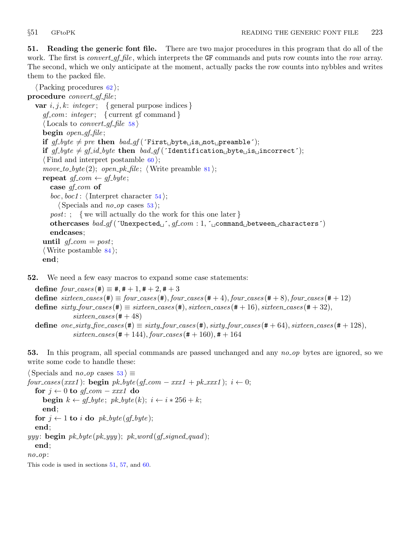<span id="page-22-0"></span>51. Reading the generic font file. There are two major procedures in this program that do all of the work. The first is *convert gf file*, which interprets the GF commands and puts row counts into the row array. The second, which we only anticipate at the moment, actually packs the row counts into nybbles and writes them to the packed file.

```
\langle62\rangle;
procedure convert\_gf\_file;
  var i, j, k: integer; \{ general purpose indices\}gf_{com}: integer; \{ current gf command \}\langle Locals to convert_gf_file58 \ranglebegin open\_gf\_file;
     if gf\_byte \neq pre then bad\_gf (First\_byte\_is\_not\_preample);
     if gf\_byte \neq gf\_id\_byte then bad\_gf ('Identification byte is incorrect');
     \langle60\rangle;
     move_to_byte(2); open_pk_file; \langle81\rangle;
     repeat gf_{com} \leftarrow gf_{byte};case gf_{com} of
       boc, boc1: \langle54\rangle;
          \langle Specials and no op cases 53\rangle;
       post: ; {we will actually do the work for this one later }
       othercases bad\_gf (\text{Unexpected}_j, gf_{com}: 1, \text{command}_\text{def} is \text{command}_\text{def} between characters')
       endcases;
     until qf_{\text{r}} com = post;\langle84\rangle;
     end;
```
**52.** We need a few easy macros to expand some case statements:

define  $four\_cases$  (#)  $\equiv$  #, # + 1, # + 2, # + 3 define  $s$ ixteen cases  $(\#) \equiv$  four cases  $(\#)$ , four cases  $(\# + 4)$ , four cases  $(\# + 8)$ , four cases  $(\# + 12)$ define  $sixty\_four\_cases (\#) \equiv sixteen\_cases (\#), sixteen\_cases (\# + 16), sixteen\_cases (\# + 32),$  $s$ ixteen\_cases (#  $+48$ ) define one\_sixty\_five\_cases(#)  $\equiv$  sixty\_four\_cases(#), sixty\_four\_cases(#+64), sixteen\_cases(#+128),  $s$ ixteen\_cases (# + 144), four\_cases (# + 160), # + 164

53. In this program, all special commands are passed unchanged and any no op bytes are ignored, so we write some code to handle these:

```
\langle Specials and no op cases 53 \rangle \equivfour\text{-}cases (xxx1): \text{begin } pk\text{-}byte (gf\text{-}com -xxx1 + pk\text{-}xxx1); i \leftarrow 0;for j \leftarrow 0 to qf_com – xxx1 do
      begin k \leftarrow gf\_byte; pk\_byte(k); i \leftarrow i * 256 + k;
      end;
  for j \leftarrow 1 to i do pk_byte(gf_byte);
  end;
yyy: begin pk\_byte(pk\_yyy); pk\_word(gf\_signed\_quad);
  end;
no.op:
```
This code is used in sections 51, [57](#page-24-0), and [60](#page-26-0).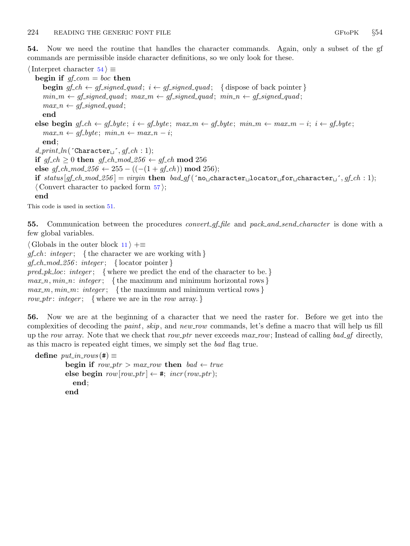<span id="page-23-0"></span>54. Now we need the routine that handles the character commands. Again, only a subset of the gf commands are permissible inside character definitions, so we only look for these.

 $\langle$  Interpret character 54 $\rangle \equiv$ begin if  $gf_{com} = boc$  then **begin**  $gf\_ch \leftarrow gf\_signed\_quad; i \leftarrow gf\_signed\_quad; \{ \text{ dispose of back pointer} \}$  $min_m \leftarrow gf\_signed\_quad; max_m \leftarrow gf\_signed\_quad; min_m \leftarrow gf\_signed\_quad;$  $max_n \leftarrow gf\_signed\_quad;$ end else begin gf\_ch ← gf\_byte;  $i \leftarrow$  gf\_byte; max\_m ← gf\_byte; min\_m ← max\_m – i;  $i \leftarrow$  gf\_byte;  $max_n \leftarrow gf\_byte; min_n \leftarrow max_n - i;$ end;  $d\_print\_ln($  Character  $, gf\_ch : 1);$ if  $gf_ch \geq 0$  then  $gf_ch\_mod\_256 \leftarrow gf_ch \mod 256$ else  $qf_{\text{c}}$ ch\_mod\_256  $\leftarrow$  255 – ((-(1 +  $qf_{\text{c}}$ ch)) mod 256); if status  $[gf_ch_{\perp}mod 256] = \text{vir}gin$  then  $bad_gf(\text{no}_{\perp}char \text{cater}_{\perp}locator \text{of}or_{\perp}char \text{citer}_{\perp}^{\perp}, gf_ch:1);$  $\langle$  Convert character to packed form  $57$ ; end

This code is used in section [51](#page-22-0).

55. Communication between the procedures *convert-gf-file* and *pack-and-send-character* is done with a few global variables.

 $\langle$  Globals in the outer block [11](#page-3-0)  $\rangle$  + $\equiv$  $qf_{\text{c}}ch$ : integer; {the character we are working with }  $gf\_ch\_mod\_256$ : integer; { locator pointer }  $pred\_pk\_loc: integer; \{ where we predict the end of the character to be. \}$  $max_n, min_n: integer; \{ the maximum and minimum horizontal rows \}$  $max_m, min_m: integer; \{ the maximum and minimum vertical rows \}$ row ptr: integer; { where we are in the row array.}

56. Now we are at the beginning of a character that we need the raster for. Before we get into the complexities of decoding the paint, skip, and new row commands, let's define a macro that will help us fill up the row array. Note that we check that row ptr never exceeds  $max_{1}row$ ; Instead of calling bad gf directly, as this macro is repeated eight times, we simply set the bad flag true.

```
define put\_in\_rows(\#) \equivbegin if row\_ptr > max\_row then bad \leftarrow trueelse begin row[row\_ptr] \leftarrow #; incr(row\_ptr);end;
          end
```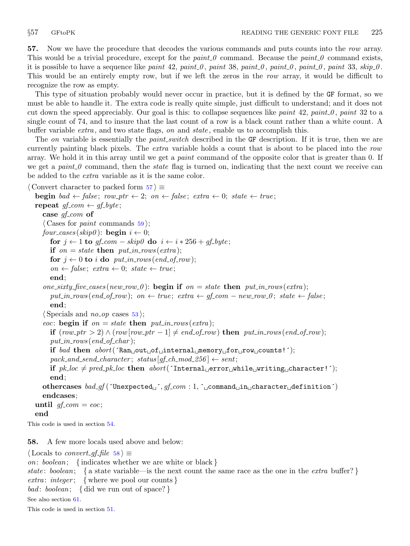<span id="page-24-0"></span>57. Now we have the procedure that decodes the various commands and puts counts into the row array. This would be a trivial procedure, except for the *paint 0* command. Because the *paint 0* command exists, it is possible to have a sequence like paint 42, paint 0, paint 38, paint 0, paint 0, paint 0, paint 33, skip 0. This would be an entirely empty row, but if we left the zeros in the row array, it would be difficult to recognize the row as empty.

This type of situation probably would never occur in practice, but it is defined by the GF format, so we must be able to handle it. The extra code is really quite simple, just difficult to understand; and it does not cut down the speed appreciably. Our goal is this: to collapse sequences like paint 42, paint 0, paint 32 to a single count of 74, and to insure that the last count of a row is a black count rather than a white count. A buffer variable  $ext{extra}$ , and two state flags, on and state, enable us to accomplish this.

The on variable is essentially the *paint switch* described in the GF description. If it is true, then we are currently painting black pixels. The *extra* variable holds a count that is about to be placed into the row array. We hold it in this array until we get a *paint* command of the opposite color that is greater than 0. If we get a paint  $0$  command, then the state flag is turned on, indicating that the next count we receive can be added to the extra variable as it is the same color.

```
\langle Convert character to packed form 57 \rangle \equivbegin bad \leftarrow false; row_ptr \leftarrow 2; on \leftarrow false; extra \leftarrow 0; state \leftarrow true;
  repeat qf_{com} \leftarrow qf_{av}case gf_{com} of
     \langle Cases for paint59\rangle;
     four_cases (skip0): begin i \leftarrow 0;
        for j \leftarrow 1 to gf_{\text{-}}com - skip\theta do i \leftarrow i * 256 + gf_{\text{-}}byte;if on = state then put\_in\_rows(extra);for j \leftarrow 0 to i do put_in_rows (end_of_row);
        on \leftarrow false; extra \leftarrow 0; state \leftarrow true;
        end;
     one sixty five cases (new row 0): begin if on = state then put in rows (extra);
        put in rows (end of row); on \leftarrow true; extra \leftarrow gf com – new row 0; state \leftarrow false;
        end;
     \langle Specials and no op53;
     eoc: begin if on = state then put_in_{rows}(extra);if (row\_ptr > 2) \wedge (row\_ptr - 1] \neq end\_of\_row then put\_in\_rows (end\_of\_row);put\_in\_rows (end_of_char);
        if bad then abort('Ran<sub>u</sub>out<sub>u</sub>of<sub>u</sub>internal<sub>u</sub>memory<sub>u</sub>for<sub>u</sub>row<sub>u</sub>counts!');pack\_and\_send\_character; status[gf\_ch\_mod\_256] \leftarrow sent;
        if pk\_loc \neq pred\_pk\_loc then abort('Internal \_error \_while \_writing \_character!;
        end;
     othercases bad\_gf (´Unexpected \checkmark, gf_{com}: 1, \checkmark_{com} command in \checkmark_{com} character definition´)
     endcases;
  until gf_{\text{-}}com = eoc;end
This code is used in section 54.
```
58. A few more locals used above and below:

 $\langle$  Locals to *convert\_gf\_file* 58  $\rangle \equiv$ 

on: boolean; { indicates whether we are white or black }

state: boolean; { a state variable—is the next count the same race as the one in the *extra* buffer?} *extra: integer*; { where we pool our counts } bad: boolean; { did we run out of space?}

See also section [61.](#page-26-0)

This code is used in section [51](#page-22-0).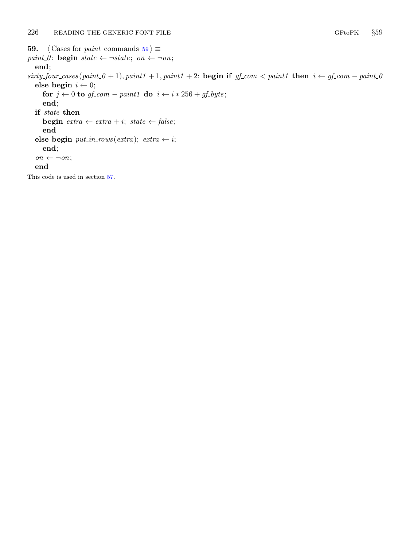<span id="page-25-0"></span>**59.**  $\langle$  Cases for *paint* commands 59  $\rangle \equiv$ paint 0: begin state  $\leftarrow \neg state$ ; on  $\leftarrow \neg on$ ; end;  $sity_four\_cases (paint_0 + 1), paint_1 + 1, paint_2 : begin if gf_{com} < paint_1 then i \leftarrow gf_{com} - paint_0$ else begin  $i \leftarrow 0$ ; for  $j \leftarrow 0$  to  $gf_{com} - paint1$  do  $i \leftarrow i * 256 + gf_{c}$ end; if state then **begin**  $extra \leftarrow extra + i$ ;  $state \leftarrow false$ ; end else begin  $put\_in\_rows (extra); extra \leftarrow i;$ end;  $\mathit{on} \leftarrow \neg \mathit{on};$ end

This code is used in section [57](#page-24-0).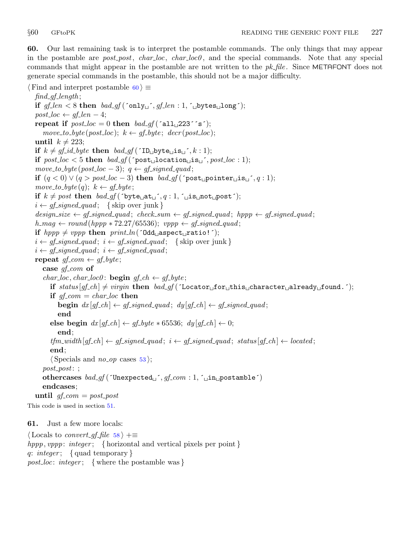<span id="page-26-0"></span>60. Our last remaining task is to interpret the postamble commands. The only things that may appear in the postamble are *post\_post*,  $char\_loc$ ,  $char\_loc0$ , and the special commands. Note that any special commands that might appear in the postamble are not written to the  $pk$ -file. Since METAFONT does not generate special commands in the postamble, this should not be a major difficulty.

 $\langle$  Find and interpret postamble 60  $\rangle \equiv$  $find\_gf\_length;$ if  $gf\_len < 8$  then  $bad\_gf(^\circ \text{only} \text{only} \text{only} \text{only} \text{only} \text{this} \text{only}$ ;  $post\_loc \leftarrow gf\_len - 4;$ repeat if  $post\_loc = 0$  then  $bad\_gf$  ('all 223''s');  $move\_to\_byte(post\_loc); k \leftarrow gf\_byte; decr(post\_loc);$ until  $k \neq 223$ ; if  $k \neq gf\_id\_byte$  then  $bad\_gf$  ( $\text{ID}_{\sqcup}$ byte $\sqcup$ is $\sqcup$ , k: 1); if  $post\_loc < 5$  then  $bad\_gf$  ( $post\_location\_is\_', post\_loc : 1$ );  $move\_to\_byte(post\_loc - 3); q \leftarrow gf\_signed\_quad;$ if  $(q < 0) \vee (q > post\_loc - 3)$  then  $bad\_gf$  ( $\gamma$ post<sub> $\Box$ </sub>pointer $\Box$ is $\Box$ , q:1);  $move\_to\_byte(q); k \leftarrow gf\_byte;$ if  $k \neq post$  then  $bad\_gf($  byte  $at_i, q : 1, \infty$  is not post);  $i \leftarrow gf\_signed\_quad; \{ \text{skip over junk } \}$  $design_size \leftarrow gf\_signed\_quad; check\_sum \leftarrow gf\_signed\_quad; hppp \leftarrow gf\_signed\_quad;$  $h_{\text{mag}} \leftarrow \text{round}(\text{hppp} * 72.27/65536); \text{ vppp} \leftarrow \text{gf\_signed\_quad};$ if  $hppp \neq vppp$  then  $print\_ln($  <sup>odd</sup> aspect ratio!  $^{\circ}$ );  $i \leftarrow$  gf\_signed\_quad;  $i \leftarrow$  gf\_signed\_quad; { skip over junk }  $i \leftarrow gf\_signed\_quad; i \leftarrow gf\_signed\_quad;$ repeat  $gf_{com} \leftarrow gf_{byte};$ case  $qf_{\text{c}}$ *com* of char\_loc, char\_loc0: **begin**  $gf\_ch \leftarrow gf\_byte;$ if status  $gf_ch \neq virgin$  then  $bad_gf$  ( $\Delta$ cator for this character for  $\Delta$ ); if  $gf_{com} = char_{loc}$  then **begin**  $dx [gf_ch] \leftarrow gf\_signed\_quad; dy [gf_ch] \leftarrow gf\_signed\_quad;$ end else begin  $dx [gf_ch] \leftarrow gf_b yte * 65536; dy [gf_ch] \leftarrow 0;$ end;  $tfm\_width[gf_ch] \leftarrow gf\_signed\_quad; i \leftarrow gf\_signed\_quad; status[gf_ch] \leftarrow located;$ end;  $\langle$  Specials and *no op* cases [53](#page-22-0);  $post\_post:$ ; othercases  $bad\_gf$  ('Unexpected  $j$ ',  $gf_{com} : 1$ , ' $\lnot$ n postamble') endcases; until  $gf_{com} = post_{post}$ This code is used in section [51](#page-22-0).

61. Just a few more locals:

 $\langle$  Locals to *convert gf file* [58](#page-24-0)  $\rangle$  +≡ hppp, vppp: integer; { horizontal and vertical pixels per point } q: integer; { quad temporary } *post\_loc: integer*; { where the postamble was }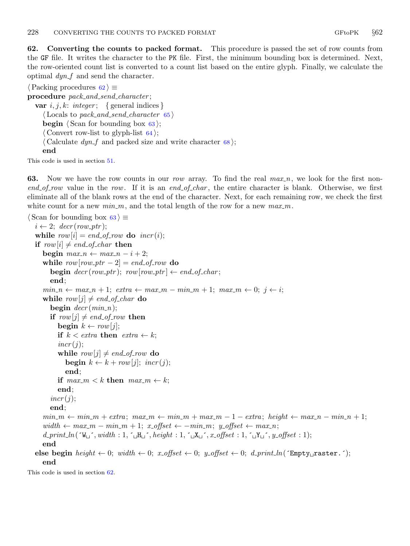<span id="page-27-0"></span>62. Converting the counts to packed format. This procedure is passed the set of row counts from the GF file. It writes the character to the PK file. First, the minimum bounding box is determined. Next, the row-oriented count list is converted to a count list based on the entire glyph. Finally, we calculate the optimal  $dyn_f$  and send the character.

 $\langle$  Packing procedures 62  $\rangle \equiv$ procedure  $pack_and\_send\_character$ ; var  $i, j, k: integer; \{ general indices\}$  $\langle$  Locals to pack\_and\_send\_character [65](#page-28-0) $\rangle$ **begin**  $\langle$  Scan for bounding box  $63 \rangle$ ;  $\langle$  Convert row-list to glyph-list  $64$ ;  $\langle$  Calculate *dyn\_f* and packed size and write character [68](#page-30-0) $\rangle$ ; end

This code is used in section [51](#page-22-0).

63. Now we have the row counts in our row array. To find the real  $max_n$ , we look for the first non $end_{of\_row}$  value in the row. If it is an end-of-char, the entire character is blank. Otherwise, we first eliminate all of the blank rows at the end of the character. Next, for each remaining row, we check the first white count for a new  $min_{m}$ , and the total length of the row for a new  $max_{m}$ .

```
\langle Scan for bounding box 63 \rangle \equivi \leftarrow 2; decr(row_ptr);
  while row[i] = end_of_rrow do incr(i);if row[i] \neq end_of_{char} then
     begin max_n \leftarrow max_n - i + 2;while row[row\_ptr-2] = end\_of\_row do
        begin decr(row\_ptr); row[row\_ptr] \leftarrow end\_of\_char;end;
     min_n \leftarrow max_n + 1; \text{ extra } \leftarrow max_m - min_m + 1; \text{ max}_m \leftarrow 0; j \leftarrow i;while row[j] \neq end_of_{\text{c}}char do
        begin decr (min_n);if row[j] \neq end_of_rrow then
           begin k \leftarrow row[j];
           if k < \text{extra} then \text{extra} \leftarrow k;
           incr(j);while row[j] \neq end_of_rrow do
              begin k \leftarrow k + row[j]; incr(j);
              end;
           if max_m < k then max_m \leftarrow k;
           end;
        incr(j);end;
     min_m \leftarrow min_m + extra; max_m \leftarrow min_m + max_m - 1 - extra; height \leftarrow max_n - min_n + 1;width ← max_m – min_m + 1; x_offset ← –min_m; y_offset ← max_n;
     d\_print\_ln(\Psi_{\sqcup}, width : 1, \ulcorner_{\sqcup} H_{\sqcup}, height : 1, \ulcorner_{\sqcup} X_{\sqcup}, x_{\lnot} offset : 1, \ulcorner_{\sqcup} Y_{\sqcup}, y_{\lnot}ffset : 1);end
  else begin height \leftarrow 0; width \leftarrow 0; x-offset \leftarrow 0; y-offset \leftarrow 0; d-print-ln(\text{'Empty}-raster.´);
     end
```
This code is used in section 62.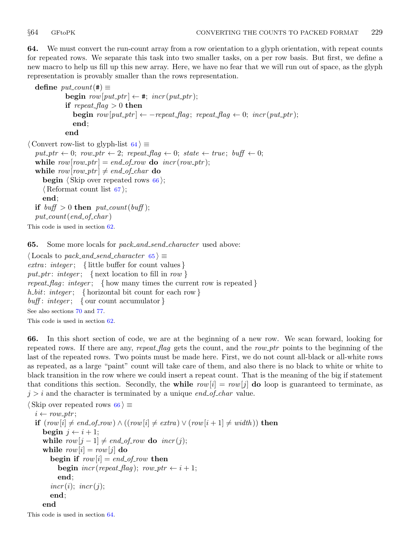<span id="page-28-0"></span>64. We must convert the run-count array from a row orientation to a glyph orientation, with repeat counts for repeated rows. We separate this task into two smaller tasks, on a per row basis. But first, we define a new macro to help us fill up this new array. Here, we have no fear that we will run out of space, as the glyph representation is provably smaller than the rows representation.

```
define put\_count(\#) \equivbegin row[put\_ptr] \leftarrow #; incr(put\_ptr);if repeat_flag > 0 then
                begin row[put\_ptr] \leftarrow -repeat\_flag; repeat\_flag \leftarrow 0; incr(put\_ptr);
                end;
             end
\langle Convert row-list to glyph-list 64\rangle \equivput\_ptr \leftarrow 0; row\_ptr \leftarrow 2; repeat\_flag \leftarrow 0; state \leftarrow true; buffer \leftarrow 0;while row[row\_ptr] = end\_of\_row do incr(row\_ptr);
  while row[row\_ptr] \neq end\_of\_char do
     begin \langle Skip over repeated rows 66\rangle;
     \langle67 \;
     end;
  if buff > 0 then put\_count(buff);put\_count(end\_of\_char)This code is used in section 62.
```
**65.** Some more locals for *pack\_and\_send\_character* used above:

 $\langle$  Locals to pack\_and\_send\_character 65  $\rangle \equiv$ extra: integer; { little buffer for count values } put ptr: integer; { next location to fill in row } repeat flag: integer; { how many times the current row is repeated } h bit: integer; { horizontal bit count for each row }  $\textit{buff}: \textit{integer}; \ \ \{\text{our count accumulator}\}\$ See also sections [70](#page-31-0) and [77.](#page-34-0) This code is used in section [62](#page-27-0).

66. In this short section of code, we are at the beginning of a new row. We scan forward, looking for repeated rows. If there are any, repeat flag gets the count, and the row ptr points to the beginning of the last of the repeated rows. Two points must be made here. First, we do not count all-black or all-white rows as repeated, as a large "paint" count will take care of them, and also there is no black to white or white to black transition in the row where we could insert a repeat count. That is the meaning of the big if statement that conditions this section. Secondly, the while  $row[i] = row[j]$  do loop is guaranteed to terminate, as  $j > i$  and the character is terminated by a unique end of char value.

```
\langle Skip over repeated rows 66 \rangle \equivi \leftarrow row\_ptr;if (row[i] \neq end_of(row) \land ((row[i] \neq extra) \lor (row[i+1] \neq width)) then
     begin j \leftarrow i + 1;
     while row[j-1] \neq end\_of\_row do incr(j);while row[i] = row[j] do
        begin if row[i] = end_of_rrow then
          begin \text{incr}(repeat\_flag); row\_ptr \leftarrow i + 1;
          end;
        incr(i); incr(j);
        end;
     end
```
This code is used in section 64.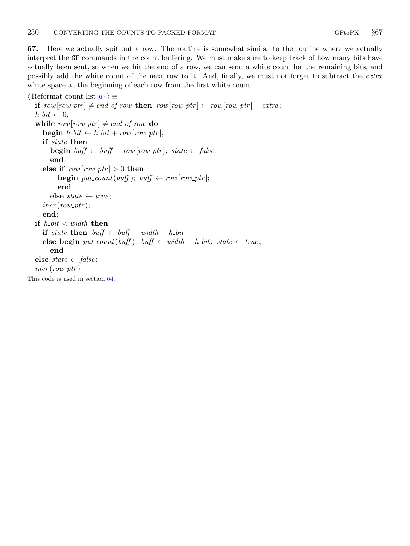<span id="page-29-0"></span>67. Here we actually spit out a row. The routine is somewhat similar to the routine where we actually interpret the GF commands in the count buffering. We must make sure to keep track of how many bits have actually been sent, so when we hit the end of a row, we can send a white count for the remaining bits, and possibly add the white count of the next row to it. And, finally, we must not forget to subtract the extra white space at the beginning of each row from the first white count.

```
\langle Reformat count list 67 \rangle \equivif row[row\_ptr] \neq end\_of\_row then row[row\_ptr] \leftarrow row[row\_ptr] - extra;h_b\ell t \leftarrow 0;while row[row\_ptr] \neq end\_of\_row do
     begin h_b\cdot b\cdot t \leftarrow h_b\cdot b\cdot t + row[row\_ptr];if state then
        begin buff \leftarrow buff + row [row_ptr]; state \leftarrow false;
        end
     else if row[row\_ptr] > 0 then
           begin put\_count(buff); buff \leftarrow row[row\_ptr];end
        else state \leftarrow true;
     incr(row\_ptr);end;
  if h\_bit < width then
     if state then buff \leftarrow buff + width – h_bit
     else begin put\_count(buff); buff \leftarrow width - h\_bit; state \leftarrow true;
        end
  else state \leftarrow false;
  incr(row\_ptr)This code is used in section 64.
```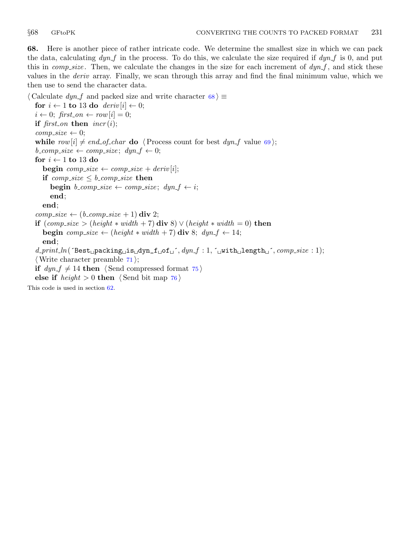<span id="page-30-0"></span>68. Here is another piece of rather intricate code. We determine the smallest size in which we can pack the data, calculating  $dyn_f$  in the process. To do this, we calculate the size required if  $dyn_f$  is 0, and put this in *comp\_size*. Then, we calculate the changes in the size for each increment of  $dyn.f$ , and stick these values in the deriv array. Finally, we scan through this array and find the final minimum value, which we then use to send the character data.

 $\langle$  Calculate *dyn\_f* and packed size and write character 68  $\rangle \equiv$ for  $i \leftarrow 1$  to 13 do  $deriv[i] \leftarrow 0;$  $i \leftarrow 0;$  first\_on  $\leftarrow row[i] = 0;$ if first\_on then  $\text{incr}(i);$  $comp\_size \leftarrow 0;$ while  $row[i] \neq end_of_{char}$  do  $\langle Process count$  for best  $dyn_{th}$  value [69](#page-31-0));  $b_{\text{r}} \rightarrow b_{\text{r}} \rightarrow c \rightarrow c \rightarrow c \rightarrow d \rightarrow g$ ;  $d \rightarrow f \rightarrow 0$ ; for  $i \leftarrow 1$  to 13 do **begin**  $complexe \leftarrow comp_size + deriv[i];$ if comp\_size  $\leq b$ \_comp\_size then **begin**  $b_{\text{com}}$ *size*  $\leftarrow$  *comp\_size*;  $dyn_{\text{f}} \leftarrow i$ ; end; end;  $comp\_size \leftarrow (b\_comp\_size + 1)$  div 2; if  $(comp\_size > (height * width + 7)$  div 8)  $\vee$  (height  $* width = 0$ ) then **begin** comp\_size  $\leftarrow$  (height  $*$  width  $+7$ ) div 8; dyn\_f  $\leftarrow$  14; end;  $d\_print\_ln($  ^Best packing  $\text{dis} \text{dyn}_f \text{id} \text{in} f \text{id} \text{in} f$  : 1, ^with length  $\text{id}$  ,  $comp\_size : 1$ ;  $\langle$  Write character preamble [71](#page-32-0) $\rangle$ ; if  $dyn.f \neq 14$  then  $\langle$  Send compressed format [75](#page-33-0)  $\rangle$ else if  $height > 0$  then  $\langle$  Send bit map [76](#page-34-0) $\rangle$ This code is used in section [62](#page-27-0).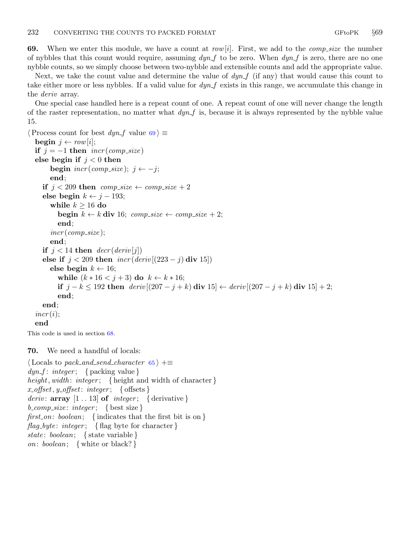<span id="page-31-0"></span>69. When we enter this module, we have a count at  $row[i]$ . First, we add to the *comp size* the number of nybbles that this count would require, assuming  $dyn_f$  to be zero. When  $dyn_f$  is zero, there are no one nybble counts, so we simply choose between two-nybble and extensible counts and add the appropriate value.

Next, we take the count value and determine the value of  $dyn_f$  (if any) that would cause this count to take either more or less nybbles. If a valid value for  $dyn.f$  exists in this range, we accumulate this change in the *deriv* array.

One special case handled here is a repeat count of one. A repeat count of one will never change the length of the raster representation, no matter what  $\frac{dyn}{f}$  is, because it is always represented by the nybble value 15.

```
\langle Process count for best dyn_f value 69 \rangle \equivbegin j \leftarrow row[i];
  if j = -1 then incr(comp\_size)else begin if j < 0 then
        begin \text{incr}(comp\_size); j \leftarrow -j;
        end;
     if j < 209 then comp_size \leftarrow comp_size +2else begin k \leftarrow j - 193;
        while k \geq 16 do
           begin k \leftarrow k div 16; comp\_size \leftarrow comp\_size + 2;
           end;
        incr (comp_size);
        end;
     if j < 14 then decr(deriv[j])else if j < 209 then \operatorname{incr}(deriv[(223 - j) \text{ div } 15])else begin k \leftarrow 16;
           while (k * 16 < j + 3) do k \leftarrow k * 16;
           if j - k \le 192 then \text{deriv}[(207 - j + k) \text{ div } 15] \leftarrow \text{deriv}[(207 - j + k) \text{ div } 15] + 2;end;
     end;
  incr(i);end
```
This code is used in section [68](#page-30-0).

70. We need a handful of locals:

 $\langle$  Locals to pack\_and\_send\_character [65](#page-28-0)  $\rangle$  + $\equiv$  $dyn_f$ :  $integer$ ; { packing value } height, width: integer; { height and width of character}  $x_\text{in}$   $x_\text{in}$   $\{ \text{offset}: \text{integer} \}$ *deriv*:  $array [1..13] of *integer*; {derivative}$  $b_{\text{1}} \text{compare}$ :  $integer; \{\text{best size}\}$ first on: boolean; {indicates that the first bit is on }  $flag\_byte: integer; \{ flag byte for character \}$ state: boolean; { state variable } on: boolean; { white or black?}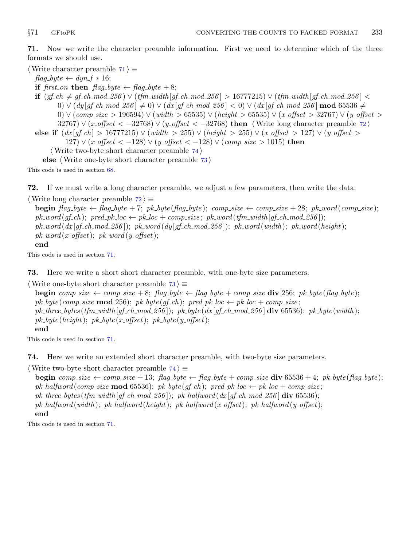<span id="page-32-0"></span>71. Now we write the character preamble information. First we need to determine which of the three formats we should use.

 $\langle$  Write character preamble 71  $\rangle \equiv$ 

 $flag\_byte \leftarrow dyn_f * 16;$ if first\_on then  $flag_byte \leftarrow flag_byte + 8;$ if  $(gf.ch \neq gf.ch.mod.256) ∨ (tfm_wwidth[gf.ch.mod.256] > 16777215) ∨ (tfm_width[gf.ch.mod.256] <$  $0) \vee (dy [gf_ch.mod.256] \neq 0) \vee (dx [gf_ch.mod.256] < 0) \vee (dx [gf_ch.mod.256] \text{ mod } 65536 \neq 0)$ 0)  $\vee$  (comp\_size > 196594)  $\vee$  (width > 65535)  $\vee$  (height > 65535)  $\vee$  (x\_offset > 32767)  $\vee$  (y\_offset > 32767)  $\vee$  (x\_offset < -32768)  $\vee$  (y\_offset < -32768) then {Write long character preamble 72} else if  $(dx[qf_ch] > 16777215) \vee (width > 255) \vee (height > 255) \vee (x-offset > 127) \vee (y-offset > 127)$ 127)  $\vee$  (*x*-offset < -128)  $\vee$  (*y*-offset < -128)  $\vee$  (*comp-size* > 1015) then  $\langle$  Write two-byte short character preamble  $74 \rangle$ else  $\langle$  Write one-byte short character preamble 73 $\rangle$ 

This code is used in section [68](#page-30-0).

72. If we must write a long character preamble, we adjust a few parameters, then write the data.

 $\langle$  Write long character preamble 72  $\rangle$  ≡

begin  $flag\_byte \leftarrow flag\_byte + 7$ ; pk\_byte(flag\_byte); comp\_size  $\leftarrow comp\_size + 28$ ; pk\_word(comp\_size);  $pk\_word(qf.ch); pred\_pk\_loc \leftarrow pk\_loc + comp\_size; pk\_word(tfm\_width[qf.ch\_mod\_256]);$  $pk\_word(dx [gf\_ch\_mod\_256])$ ;  $pk\_word(dy [gf\_ch\_mod\_256])$ ;  $pk\_word(width)$ ;  $pk\_word(height)$ ;  $pk\_word(x\_offset); pk\_word(y\_offset);$ end

This code is used in section 71.

73. Here we write a short short character preamble, with one-byte size parameters.

```
\langle Write one-byte short character preamble 73 \rangle ≡
```

```
begin comp_size \leftarrow comp_size + 8; flag_byte \leftarrow flag_byte + comp_size div 256; pk_byte(flag_byte);
pk_byte(comp_size mod 256); pk_byte(gf_ch); pred_pk_loc \leftarrow pk_loc + comp_size;
pk_three_bytes (tfm_width [gf_ch_mod_256]); pk_byte (dx [gf_ch_mod_256] div 65536); pk_byte (width);
pk\_byte(height); pk\_byte(x\_offset); pk\_byte(y\_offset);end
```
This code is used in section 71.

74. Here we write an extended short character preamble, with two-byte size parameters.

 $\langle$  Write two-byte short character preamble 74  $\rangle$  ≡

**begin** comp size  $\leftarrow$  comp size + 13; flag byte  $\leftarrow$  flag byte + comp size div 65536 + 4; pk byte (flag byte); pk\_halfword(comp\_size mod 65536); pk\_byte(gf\_ch); pred\_pk\_loc  $\leftarrow$  pk\_loc + comp\_size; pk\_three\_bytes (tfm\_width [gf\_ch\_mod\_256]); pk\_halfword (dx [gf\_ch\_mod\_256] div 65536);  $pk\_halfword(width); pk\_halfword(height); p k\_halfword(x\_offset); p k\_halfword(y\_offset);$ end

This code is used in section 71.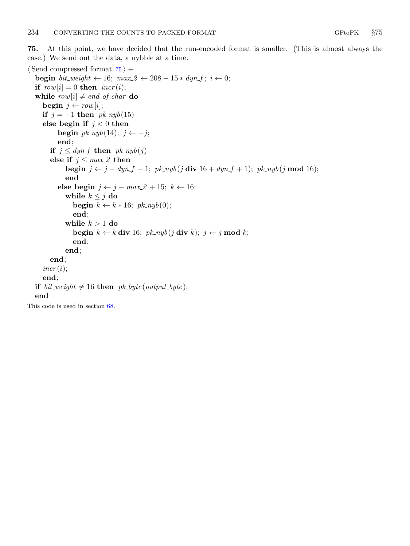<span id="page-33-0"></span>75. At this point, we have decided that the run-encoded format is smaller. (This is almost always the case.) We send out the data, a nybble at a time.

```
\langle Send compressed format 75 \rangle \equivbegin bit_weight \leftarrow 16; max2 \leftarrow 208 - 15 * dyn_f; i \leftarrow 0;
  if row[i] = 0 then incr(i);while row[i] \neq end_of_{char} do
     begin j \leftarrow row[i];
     if j = -1 then pk_nyb(15)else begin if j < 0 then
          begin pk_nyb(14); j \leftarrow -j;end;
       if j \leq dyn_f then pk_nyb(j)else if j \leq max.2 then
             begin j \leftarrow j - dyn_f - 1; pk_nyb(j div 16 + dyn_f + 1); pk_nyb(j mod 16);
             end
          else begin j \leftarrow j - max_2 2 + 15; k \leftarrow 16;while k \leq j do
                begin k \leftarrow k * 16; pk_nyb(0);
                end;
             while k > 1 do
                begin k \leftarrow k div 16; pk_nyb(j \text{ div } k); j \leftarrow j \text{ mod } k;end;
             end;
       end;
     \text{incr}(i);end;
  if bit_weight \neq 16 then pk_byte(output_byte);
  end
This code is used in section 68.
```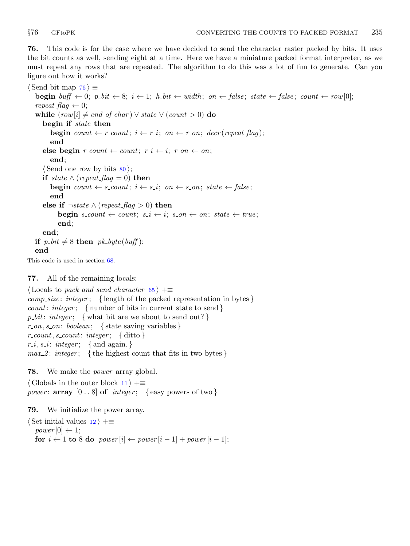<span id="page-34-0"></span>76. This code is for the case where we have decided to send the character raster packed by bits. It uses the bit counts as well, sending eight at a time. Here we have a miniature packed format interpreter, as we must repeat any rows that are repeated. The algorithm to do this was a lot of fun to generate. Can you figure out how it works?

 $\langle$  Send bit map 76  $\rangle \equiv$ **begin** buff  $\leftarrow 0$ ;  $p\text{-}bit \leftarrow 8$ ;  $i \leftarrow 1$ ;  $h\text{-}bit \leftarrow width$ ; on  $\leftarrow false$ ; state  $\leftarrow false$ ; count  $\leftarrow row[0]$ ;  $repeat\_flag \leftarrow 0;$ while  $(row[i] \neq end_of_{char}) \vee state \vee (count > 0)$  do begin if state then **begin** count  $\leftarrow$  r\_count;  $i \leftarrow r_i$ ; on  $\leftarrow$  r\_on; decr(repeat\_flag); end else begin  $r_{count} \leftarrow count; r_i \leftarrow i; r_{on} \leftarrow on;$ end;  $\langle$  Send one row by bits  $\langle 80 \rangle$  $\langle 80 \rangle$  $\langle 80 \rangle$ ; if state  $\land$  (repeat\_flag = 0) then begin count  $\leftarrow s_{count}; i \leftarrow s_{i}; on \leftarrow s_{on}; state \leftarrow false;$ end else if  $\neg$ state ∧ (repeat\_flag > 0) then **begin**  $s_{count} \leftarrow count$ ;  $s_i \leftarrow i$ ;  $s_{out} \leftarrow on$ ;  $state \leftarrow true$ ; end; end; if  $p\_bit \neq 8$  then  $pk\_byte(buff)$ ; end This code is used in section [68](#page-30-0).

## 77. All of the remaining locals:

 $\langle$  Locals to pack\_and\_send\_character [65](#page-28-0)  $\rangle$  + $\equiv$  $complex: integer;$  {length of the packed representation in bytes } *count: integer*; { number of bits in current state to send }  $p\_bit: integer; \{ what bit are we about to send out? \}$  $r_{\rm o}$ , s<sub>-on</sub>: boolean; { state saving variables }  $r\_count, s\_count: integer; \{\text{ditto}\}\$  $r_i, s_i$ : integer; { and again.}  $max_2$ : integer; { the highest count that fits in two bytes }

78. We make the power array global.

 $\langle$  Globals in the outer block [11](#page-3-0)  $\rangle$  +≡ power:  $array \t[0.8]$  of integer; {easy powers of two}

79. We initialize the power array.

 $\langle$  Set initial values  $12$   $\rangle$  +≡  $power[0] \leftarrow 1;$ for  $i \leftarrow 1$  to 8 do power  $[i] \leftarrow power[i-1] + power[i-1]$ ;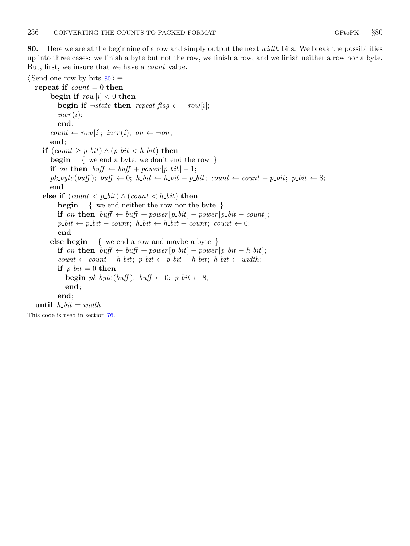<span id="page-35-0"></span>80. Here we are at the beginning of a row and simply output the next width bits. We break the possibilities up into three cases: we finish a byte but not the row, we finish a row, and we finish neither a row nor a byte. But, first, we insure that we have a count value.

 $\langle$  Send one row by bits 80  $\rangle \equiv$ repeat if  $count = 0$  then begin if  $row[i] < 0$  then begin if  $\neg$ state then repeat\_flag  $\leftarrow -row[i];$  $incr(i);$ end;  $count \leftarrow row[i]; \; incr(i); \; on \leftarrow \neg on;$ end; **if**  $(count ≥ p_bit) ∧ (p_bit < h_bit)$  then begin { we end a byte, we don't end the row } if on then  $buff \leftarrow buffer + power[p\_bit] - 1;$  $pk\_byte(buff); buff \leftarrow 0; h\_bit \leftarrow h\_bit - p\_bit; count \leftarrow count - p\_bit; p\_bit \leftarrow 8;$ end else if  $(count < p_b$ ti $) \wedge (count < h_b$ then **begin** { we end neither the row nor the byte } if on then  $buff \leftarrow buffer + power[p\_bit] - power[p\_bit - count];$  $p\_bit \leftarrow p\_bit - count; h\_bit \leftarrow h\_bit - count; count \leftarrow 0;$ end else begin { we end a row and maybe a byte } if on then  $buff \leftarrow buffer + power[p\_bit] - power[p\_bit - h\_bit];$ count ← count – h\_bit; p\_bit ← p\_bit – h\_bit; h\_bit ← width; if  $p\_bit = 0$  then **begin**  $pk\_byte(buff)$ ;  $buf \leftarrow 0$ ;  $p\_bit \leftarrow 8$ ; end; end; until  $h_b t = width$ This code is used in section [76](#page-34-0).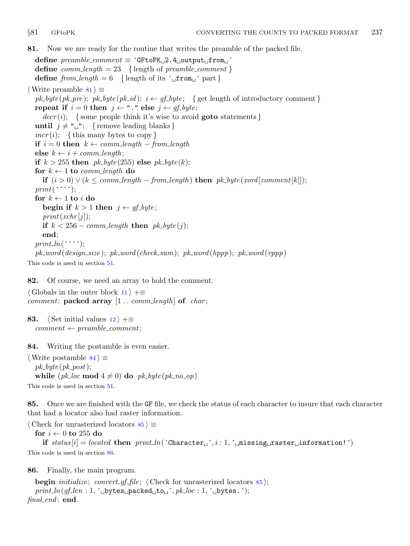<span id="page-36-0"></span>81. Now we are ready for the routine that writes the preamble of the packed file.

define  $\textit{preamble\_comment} \equiv \text{`GFtoPK}_\sqcup 2.4_\sqcup \text{output}_\sqcup \text{from}_\sqcup \text{`}$ define  $comm\_length = 23$  {length of preamble\_comment} define from length = 6 { length of its  $\int$  from  $\int$  part }  $\langle$  Write preamble 81  $\rangle$  ≡ pk\_byte(pk\_pre); pk\_byte(pk\_id);  $i \leftarrow gf\_byte$ ; {get length of introductory comment} repeat if  $i = 0$  then  $j \leftarrow$  "." else  $j \leftarrow gf\_byte;$  $decr(i);$  {some people think it's wise to avoid **goto** statements } until  $j \neq "$  ""; { remove leading blanks }  $\text{incr}(i);$  {this many bytes to copy} if  $i = 0$  then  $k \leftarrow comm\_length - from\_length$ else  $k \leftarrow i + comm\_length$ ; if  $k > 255$  then  $pk\_byte(255)$  else  $pk\_byte(k);$ for  $k \leftarrow 1$  to comm-length do if  $(i > 0) \vee (k \leq comm\_length - from\_length)$  then  $pk\_byte(xord[comment[k]]);$  $print('$ :  $\cdot$ ; for  $k \leftarrow 1$  to  $i$  do begin if  $k > 1$  then  $j \leftarrow gf\_byte;$  $print(xchr[j]);$ if  $k < 256 - comm\_length$  then  $pk\_byte(j)$ ; end;  $print\_ln($  $\cdots$ ; pk word (design size ); pk word (check sum); pk word (hppp); pk word (vppp) This code is used in section [51](#page-22-0).

82. Of course, we need an array to hold the comment.

 $\langle$  Globals in the outer block [11](#page-3-0)  $\rangle$  +≡ *comment:* packed array  $[1 \tots \t{comm\_length}]$  of *char*;

83. (Set initial values  $12$ ) +≡  $comment \leftarrow \textit{preample\_comment};$ 

84. Writing the postamble is even easier.

 $\langle$  Write postamble 84 $\rangle \equiv$  $pk\_byte(pk\_post);$ while  $(pk\text{-}loc \mod 4 \neq 0)$  do  $pk\text{-}byte(pk\text{-}no\text{-}op)$ This code is used in section [51](#page-22-0).

85. Once we are finished with the GF file, we check the status of each character to insure that each character that had a locator also had raster information.

 $\langle$  Check for unrasterized locators  $85 \rangle \equiv$ for  $i \leftarrow 0$  to 255 do if status  $[i] = located$  then  $print\_ln('Character\_', i : 1, '$  missing raster information!') This code is used in section 86.

86. Finally, the main program.

```
begin initialize; convert qf file; (Check for unrasterized locators 85);
   print\_ln(gf\_len: 1, \lceil_{\cup} bytes_{\cup} packed_{\cup}to \ulcorner, pk\_loc: 1, \lceil_{\cup} bytes. \rceil);final end: end.
```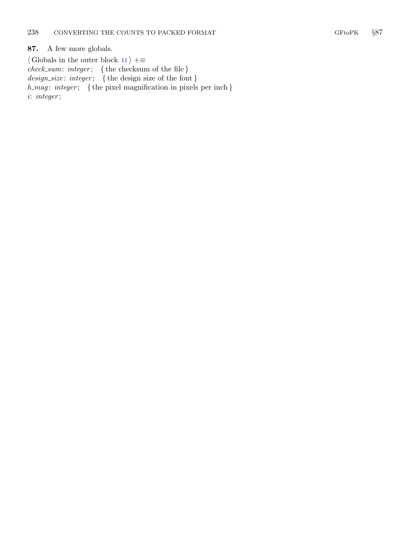### <span id="page-37-0"></span>87. A few more globals.

 $\langle$  Globals in the outer block [11](#page-3-0)  $\rangle$  +≡  $check\_sum:integer;$  { the checksum of the file }  $design\_size$ :  $integer$ ; {the design size of the font}  $h_{\text{max}}$ : integer; { the pixel magnification in pixels per inch } i: integer ;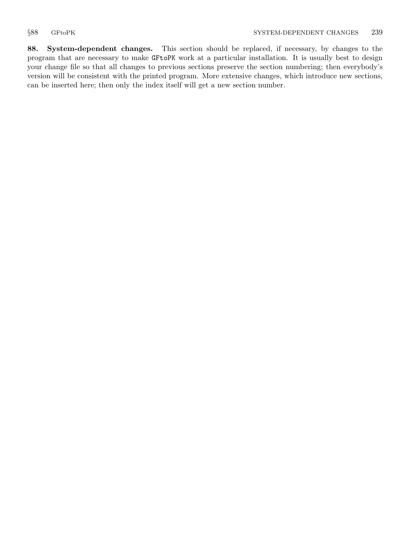<span id="page-38-0"></span>88. System-dependent changes. This section should be replaced, if necessary, by changes to the program that are necessary to make GFtoPK work at a particular installation. It is usually best to design your change file so that all changes to previous sections preserve the section numbering; then everybody's version will be consistent with the printed program. More extensive changes, which introduce new sections, can be inserted here; then only the index itself will get a new section number.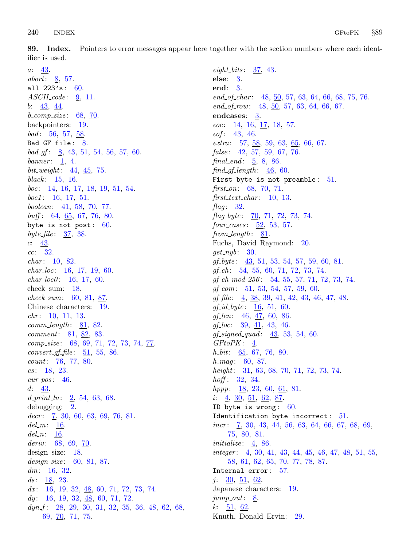<span id="page-39-0"></span>89. Index. Pointers to error messages appear here together with the section numbers where each identifier is used.

a: [43.](#page-18-0) abort:  $8, 57.$  $8, 57.$  $8, 57.$  $8, 57.$ all  $223's: 60.$  $223's: 60.$  $ASCII \_code: 9, 11.$  $ASCII \_code: 9, 11.$  $ASCII \_code: 9, 11.$  $ASCII \_code: 9, 11.$ b: [43,](#page-18-0) [44](#page-19-0).  $b_{\text{-}}comp\_size: 68, 70.$  $b_{\text{-}}comp\_size: 68, 70.$  $b_{\text{-}}comp\_size: 68, 70.$  $b_{\text{-}}comp\_size: 68, 70.$ backpointers: [19.](#page-8-0)  $bad: 56, 57, 58.$  $bad: 56, 57, 58.$  $bad: 56, 57, 58.$  $bad: 56, 57, 58.$  $bad: 56, 57, 58.$  $bad: 56, 57, 58.$  $bad: 56, 57, 58.$ Bad GF file : [8](#page-2-0).  $bad\_gf$ : [8,](#page-2-0) [43,](#page-18-0) [51,](#page-22-0) [54,](#page-23-0) [56,](#page-23-0) [57,](#page-24-0) [60.](#page-26-0) banner:  $1, 4$  $1, 4$ . bit weight: [44](#page-19-0), [45,](#page-19-0) [75](#page-33-0). black:  $15, 16$  $15, 16$ . boc: [14](#page-5-0), [16](#page-6-0), [17](#page-7-0), [18](#page-8-0), [19](#page-8-0), [51,](#page-22-0) [54.](#page-23-0)  $boc1: 16, 17, 51.$  $boc1: 16, 17, 51.$  $boc1: 16, 17, 51.$  $boc1: 16, 17, 51.$  $boc1: 16, 17, 51.$  $boc1: 16, 17, 51.$ boolean: [41](#page-17-0), [58,](#page-24-0) [70](#page-31-0), [77.](#page-34-0)  $\textit{buff}: 64, 65, 67, 76, 80.$  $\textit{buff}: 64, 65, 67, 76, 80.$  $\textit{buff}: 64, 65, 67, 76, 80.$  $\textit{buff}: 64, 65, 67, 76, 80.$  $\textit{buff}: 64, 65, 67, 76, 80.$  $\textit{buff}: 64, 65, 67, 76, 80.$  $\textit{buff}: 64, 65, 67, 76, 80.$  $\textit{buff}: 64, 65, 67, 76, 80.$  $\textit{buff}: 64, 65, 67, 76, 80.$  $\textit{buff}: 64, 65, 67, 76, 80.$  $\textit{buff}: 64, 65, 67, 76, 80.$ byte is not post:  $60$ . byte\_file:  $\frac{37}{38}$ . c: [43](#page-18-0). cc: [32](#page-14-0).  $char: 10, 82.$  $char: 10, 82.$  $char: 10, 82.$  $char: 10, 82.$  $char: 10, 82.$  $char\_loc:$  [16](#page-6-0), [17,](#page-7-0) [19](#page-8-0), [60.](#page-26-0)  $char\_loc0$ :  $\underline{16}$ ,  $\underline{17}$ , [60](#page-26-0). check sum: [18.](#page-8-0)  $check\_sum: 60, 81, 87.$  $check\_sum: 60, 81, 87.$  $check\_sum: 60, 81, 87.$  $check\_sum: 60, 81, 87.$  $check\_sum: 60, 81, 87.$  $check\_sum: 60, 81, 87.$  $check\_sum: 60, 81, 87.$ Chinese characters: [19](#page-8-0).  $chr: 10, 11, 13.$  $chr: 10, 11, 13.$  $chr: 10, 11, 13.$  $chr: 10, 11, 13.$  $chr: 10, 11, 13.$  $chr: 10, 11, 13.$  $chr: 10, 11, 13.$  $comm\_length: 81, 82.$  $comm\_length: 81, 82.$  $comm\_length: 81, 82.$  $comm\_length: 81, 82.$  $comm\_length: 81, 82.$ comment: [81](#page-36-0), [82,](#page-36-0) [83](#page-36-0). comp\_size: [68,](#page-30-0) [69,](#page-31-0) [71](#page-32-0), [72](#page-32-0), [73,](#page-32-0) [74,](#page-32-0) <u>[77](#page-34-0)</u>.  $convert\_gf\_file: 51, 55, 86.$  $convert\_gf\_file: 51, 55, 86.$  $convert\_gf\_file: 51, 55, 86.$  $convert\_gf\_file: 51, 55, 86.$  $convert\_gf\_file: 51, 55, 86.$  $convert\_gf\_file: 51, 55, 86.$  $count: 76, 77, 80.$  $count: 76, 77, 80.$  $count: 76, 77, 80.$  $count: 76, 77, 80.$  $count: 76, 77, 80.$  $count: 76, 77, 80.$  $count: 76, 77, 80.$  $cs: \frac{18}{9}$ , [23.](#page-11-0)  $cur_pos: 46$ .  $d: 43.$  $d: 43.$ d\_print\_ln:  $2, 54, 63, 68$  $2, 54, 63, 68$  $2, 54, 63, 68$  $2, 54, 63, 68$  $2, 54, 63, 68$  $2, 54, 63, 68$  $2, 54, 63, 68$ . debugging: [2.](#page-1-0)  $decr: \quad 7, 30, 60, 63, 69, 76, 81.$  $decr: \quad 7, 30, 60, 63, 69, 76, 81.$  $decr: \quad 7, 30, 60, 63, 69, 76, 81.$  $decr: \quad 7, 30, 60, 63, 69, 76, 81.$  $decr: \quad 7, 30, 60, 63, 69, 76, 81.$  $decr: \quad 7, 30, 60, 63, 69, 76, 81.$  $decr: \quad 7, 30, 60, 63, 69, 76, 81.$  $decr: \quad 7, 30, 60, 63, 69, 76, 81.$  $decr: \quad 7, 30, 60, 63, 69, 76, 81.$  $decr: \quad 7, 30, 60, 63, 69, 76, 81.$  $decr: \quad 7, 30, 60, 63, 69, 76, 81.$  $decr: \quad 7, 30, 60, 63, 69, 76, 81.$  $decr: \quad 7, 30, 60, 63, 69, 76, 81.$  $decr: \quad 7, 30, 60, 63, 69, 76, 81.$  $del_m: 16.$  $del_m: 16.$  $del_m: 16.$  $del_n$ : [16](#page-6-0). deriv:  $68, 69, 70$  $68, 69, 70$  $68, 69, 70$  $68, 69, 70$ . design size: [18](#page-8-0). design\_size:  $60, 81, 87$  $60, 81, 87$  $60, 81, 87$  $60, 81, 87$ . dm:  $\frac{16}{32}$  $\frac{16}{32}$  $\frac{16}{32}$  $\frac{16}{32}$  $\frac{16}{32}$ . ds:  $\frac{18}{23}$  $\frac{18}{23}$  $\frac{18}{23}$  $\frac{18}{23}$  $\frac{18}{23}$ . dx: [16](#page-6-0), [19,](#page-8-0) [32,](#page-14-0)  $\underline{48}$  $\underline{48}$  $\underline{48}$ , [60](#page-26-0), [71,](#page-32-0) [72,](#page-32-0) [73](#page-32-0), [74](#page-32-0).  $dy: 16, 19, 32, 48, 60, 71, 72.$  $dy: 16, 19, 32, 48, 60, 71, 72.$  $dy: 16, 19, 32, 48, 60, 71, 72.$  $dy: 16, 19, 32, 48, 60, 71, 72.$  $dy: 16, 19, 32, 48, 60, 71, 72.$  $dy: 16, 19, 32, 48, 60, 71, 72.$  $dy: 16, 19, 32, 48, 60, 71, 72.$  $dy: 16, 19, 32, 48, 60, 71, 72.$  $dy: 16, 19, 32, 48, 60, 71, 72.$  $dy: 16, 19, 32, 48, 60, 71, 72.$  $dy: 16, 19, 32, 48, 60, 71, 72.$  $dy: 16, 19, 32, 48, 60, 71, 72.$  $dy: 16, 19, 32, 48, 60, 71, 72.$  $dy: 16, 19, 32, 48, 60, 71, 72.$  $dyn f$ : [28,](#page-13-0) [29](#page-13-0), [30](#page-13-0), [31,](#page-14-0) [32](#page-14-0), [35,](#page-16-0) [36](#page-16-0), [48,](#page-21-0) [62](#page-27-0), [68,](#page-30-0) [69,](#page-31-0) [70,](#page-31-0) [71,](#page-32-0) [75](#page-33-0).

 $eight\_bits: \quad \underline{37}, \; 43.$  $eight\_bits: \quad \underline{37}, \; 43.$  $eight\_bits: \quad \underline{37}, \; 43.$  $eight\_bits: \quad \underline{37}, \; 43.$  $eight\_bits: \quad \underline{37}, \; 43.$ else: [3](#page-1-0). end: [3](#page-1-0). end of char: [48,](#page-21-0) [50](#page-21-0), [57,](#page-24-0) [63,](#page-27-0) [64](#page-28-0), [66](#page-28-0), [68,](#page-30-0) [75,](#page-33-0) [76](#page-34-0).  $end\_of_{row}:$  [48](#page-21-0), [50](#page-21-0), [57,](#page-24-0) [63,](#page-27-0) [64](#page-28-0), [66,](#page-28-0) [67.](#page-29-0) endcases: [3](#page-1-0). eoc: [14,](#page-5-0) [16,](#page-6-0) [17](#page-7-0), [18,](#page-8-0) [57](#page-24-0). eof : [43](#page-18-0), [46.](#page-20-0) extra: [57](#page-24-0), [58](#page-24-0), [59](#page-25-0), [63](#page-27-0), [65](#page-28-0), [66](#page-28-0), [67](#page-29-0).  $false: 42, 57, 59, 67, 76.$  $false: 42, 57, 59, 67, 76.$  $false: 42, 57, 59, 67, 76.$  $false: 42, 57, 59, 67, 76.$  $false: 42, 57, 59, 67, 76.$  $false: 42, 57, 59, 67, 76.$  $false: 42, 57, 59, 67, 76.$  $false: 42, 57, 59, 67, 76.$  $false: 42, 57, 59, 67, 76.$  $false: 42, 57, 59, 67, 76.$  $false: 42, 57, 59, 67, 76.$  $final\_end$ : [5,](#page-2-0) [8,](#page-2-0) [86.](#page-36-0)  $find\_gf_length: 46, 60.$  $find\_gf_length: 46, 60.$  $find\_gf_length: 46, 60.$  $find\_gf_length: 46, 60.$ First byte is not preamble: [51.](#page-22-0) first on:  $68, 70, 71$  $68, 70, 71$  $68, 70, 71$  $68, 70, 71$ . first text char:  $10, 13$  $10, 13$  $10, 13$ . flag:  $32$ . flag byte:  $\frac{70}{71}$  $\frac{70}{71}$  $\frac{70}{71}$ , [72,](#page-32-0) [73](#page-32-0), [74](#page-32-0).  $four\_cases: \underline{52}, 53, 57.$  $four\_cases: \underline{52}, 53, 57.$  $four\_cases: \underline{52}, 53, 57.$  $four\_cases: \underline{52}, 53, 57.$  $four\_cases: \underline{52}, 53, 57.$  $four\_cases: \underline{52}, 53, 57.$  $four\_cases: \underline{52}, 53, 57.$  $from \text{\textendash}: 81.$  $from \text{\textendash}: 81.$  $from \text{\textendash}: 81.$ Fuchs, David Raymond: [20.](#page-9-0)  $get_nyb: 30.$  $get_nyb: 30.$  $gf\_byte:$  [43,](#page-18-0) [51](#page-22-0), [53,](#page-22-0) [54,](#page-23-0) [57](#page-24-0), [59](#page-25-0), [60,](#page-26-0) [81.](#page-36-0)  $gf_{-}ch$ : [54,](#page-23-0) [55,](#page-23-0) [60,](#page-26-0) [71,](#page-32-0) [72,](#page-32-0) [73,](#page-32-0) [74](#page-32-0).  $gf\_ch\_mod\_256$ : [54,](#page-23-0) [55](#page-23-0), [57,](#page-24-0) [71](#page-32-0), [72](#page-32-0), [73,](#page-32-0) [74](#page-32-0).  $gf_{\sim}com: \quad \underline{51}$ , [53,](#page-22-0) [54,](#page-23-0) [57,](#page-24-0) [59](#page-25-0), [60](#page-26-0).  $gf_{\mathcal{I}}$  file:  $\underline{4}$ ,  $\underline{38}$ ,  $39$ ,  $41$ ,  $42$ ,  $43$ ,  $46$ ,  $47$ ,  $48$ .  $gf_id\_byte: \underline{16}, 51, 60.$  $gf_id\_byte: \underline{16}, 51, 60.$  $gf_id\_byte: \underline{16}, 51, 60.$  $gf_id\_byte: \underline{16}, 51, 60.$  $gf_id\_byte: \underline{16}, 51, 60.$  $gf_id\_byte: \underline{16}, 51, 60.$  $gf_{\!\perp}$ en: [46,](#page-20-0) [47,](#page-20-0) [60](#page-26-0), [86.](#page-36-0)  $gf\_loc:$  [39,](#page-17-0)  $\underline{41}$  $\underline{41}$  $\underline{41}$ , [43](#page-18-0), [46.](#page-20-0)  $gf\_signed\_quad: 43, 53, 54, 60.$  $gf\_signed\_quad: 43, 53, 54, 60.$  $gf\_signed\_quad: 43, 53, 54, 60.$  $gf\_signed\_quad: 43, 53, 54, 60.$  $gf\_signed\_quad: 43, 53, 54, 60.$  $gf\_signed\_quad: 43, 53, 54, 60.$  $gf\_signed\_quad: 43, 53, 54, 60.$  $gf\_signed\_quad: 43, 53, 54, 60.$  $gf\_signed\_quad: 43, 53, 54, 60.$ GFtoPK: [4.](#page-1-0)  $h_b$ *h*:  $65, 67, 76, 80$  $65, 67, 76, 80$  $65, 67, 76, 80$  $65, 67, 76, 80$  $65, 67, 76, 80$  $65, 67, 76, 80$ .  $h_{\text{-}mag}$ : [60,](#page-26-0) [87.](#page-37-0) height:  $31, 63, 68, 70, 71, 72, 73, 74.$  $31, 63, 68, 70, 71, 72, 73, 74.$  $31, 63, 68, 70, 71, 72, 73, 74.$  $31, 63, 68, 70, 71, 72, 73, 74.$  $31, 63, 68, 70, 71, 72, 73, 74.$  $31, 63, 68, 70, 71, 72, 73, 74.$  $31, 63, 68, 70, 71, 72, 73, 74.$  $31, 63, 68, 70, 71, 72, 73, 74.$  $31, 63, 68, 70, 71, 72, 73, 74.$  $31, 63, 68, 70, 71, 72, 73, 74.$  $31, 63, 68, 70, 71, 72, 73, 74.$  $31, 63, 68, 70, 71, 72, 73, 74.$  $31, 63, 68, 70, 71, 72, 73, 74.$  $31, 63, 68, 70, 71, 72, 73, 74.$  $31, 63, 68, 70, 71, 72, 73, 74.$  $31, 63, 68, 70, 71, 72, 73, 74.$ *hoff*:  $32, 34$  $32, 34$ .  $hppp: \underline{18}, 23, 60, \underline{61}, 81.$  $hppp: \underline{18}, 23, 60, \underline{61}, 81.$  $hppp: \underline{18}, 23, 60, \underline{61}, 81.$  $hppp: \underline{18}, 23, 60, \underline{61}, 81.$  $hppp: \underline{18}, 23, 60, \underline{61}, 81.$  $hppp: \underline{18}, 23, 60, \underline{61}, 81.$  $hppp: \underline{18}, 23, 60, \underline{61}, 81.$  $hppp: \underline{18}, 23, 60, \underline{61}, 81.$ i: [4](#page-1-0), [30,](#page-13-0) [51,](#page-22-0) [62](#page-27-0), [87](#page-37-0). ID byte is wrong:  $60$ . Identification byte incorrect:  $51$ . *incr* :  $\bar{7}$ , 30, 43, 44, 56, 63, 64, 66, 6[7,](#page-2-0) [68,](#page-30-0) [69](#page-31-0), [75,](#page-33-0) [80,](#page-35-0) [81.](#page-36-0) initialize:  $\frac{4}{6}$  $\frac{4}{6}$  $\frac{4}{6}$ , [86](#page-36-0). integer : [4,](#page-1-0) [30](#page-13-0), [41,](#page-17-0) [43](#page-18-0), [44](#page-19-0), [45,](#page-19-0) [46](#page-20-0), [47,](#page-20-0) [48](#page-21-0), [51](#page-22-0), [55,](#page-23-0) [58,](#page-24-0) [61,](#page-26-0) [62,](#page-27-0) [65,](#page-28-0) [70,](#page-31-0) [77,](#page-34-0) [78,](#page-34-0) [87.](#page-37-0) Internal error : [57.](#page-24-0) j:  $\frac{30}{51}$  $\frac{30}{51}$  $\frac{30}{51}$  $\frac{30}{51}$  $\frac{30}{51}$ ,  $\frac{51}{62}$ . Japanese characters: [19](#page-8-0).  $jump_out: 8$  $jump_out: 8$ . k: [51](#page-22-0), [62](#page-27-0). Knuth, Donald Ervin: [29](#page-13-0).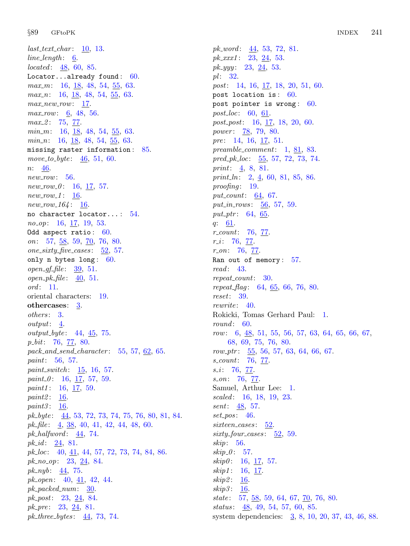$last\_text\_char: 10, 13.$  $last\_text\_char: 10, 13.$  $last\_text\_char: 10, 13.$  $last\_text\_char: 10, 13.$  $last\_text\_char: 10, 13.$  $line\_length: 6$  $line\_length: 6$ . located: [48](#page-21-0), [60,](#page-26-0) [85.](#page-36-0) Locator...already found: [60](#page-26-0).  $max_m: 16, 18, 48, 54, 55, 63.$  $max_m: 16, 18, 48, 54, 55, 63.$  $max_m: 16, 18, 48, 54, 55, 63.$  $max_m: 16, 18, 48, 54, 55, 63.$  $max_m: 16, 18, 48, 54, 55, 63.$  $max_m: 16, 18, 48, 54, 55, 63.$  $max_m: 16, 18, 48, 54, 55, 63.$  $max_m: 16, 18, 48, 54, 55, 63.$  $max_m: 16, 18, 48, 54, 55, 63.$  $max_m: 16, 18, 48, 54, 55, 63.$  $max_m: 16, 18, 48, 54, 55, 63.$  $max_m: 16, 18, 48, 54, 55, 63.$  $max_m: 16, 18, 48, 54, 55, 63.$ *max\_n*: [16](#page-6-0), <u>[18](#page-8-0)</u>, [48](#page-21-0), [54,](#page-23-0) [55,](#page-23-0) [63.](#page-27-0)  $max_new_{row}:$  [17.](#page-7-0)  $max_{10}$  row: [6](#page-2-0), [48,](#page-21-0) [56.](#page-23-0)  $max_2$ : [75](#page-33-0), [77](#page-34-0).  $min_m: 16, 18, 48, 54, 55, 63.$  $min_m: 16, 18, 48, 54, 55, 63.$  $min_m: 16, 18, 48, 54, 55, 63.$  $min_m: 16, 18, 48, 54, 55, 63.$  $min_m: 16, 18, 48, 54, 55, 63.$  $min_m: 16, 18, 48, 54, 55, 63.$  $min_m: 16, 18, 48, 54, 55, 63.$  $min_m: 16, 18, 48, 54, 55, 63.$  $min_m: 16, 18, 48, 54, 55, 63.$  $min_m: 16, 18, 48, 54, 55, 63.$  $min_m: 16, 18, 48, 54, 55, 63.$  $min_m: 16, 18, 48, 54, 55, 63.$  $min_m: 16, 18, 48, 54, 55, 63.$  $min_n$ : [16](#page-6-0), [18](#page-8-0), [48](#page-21-0), [54,](#page-23-0) [55,](#page-23-0) [63.](#page-27-0) missing raster information : [85.](#page-36-0) move\_to\_byte:  $46, 51, 60$  $46, 51, 60$  $46, 51, 60$  $46, 51, 60$  $46, 51, 60$ . n: [46.](#page-20-0)  $new_{row}: 56.$  $new_{row}: 56.$  $new_{row}: 56.$  $new_{1} - 0: 16, 17, 57.$  $new_{1} - 0: 16, 17, 57.$  $new_{1} - 0: 16, 17, 57.$  $new_{1} - 0: 16, 17, 57.$  $new_{1} - 0: 16, 17, 57.$  $new_{1} - 0: 16, 17, 57.$  $new_{1} - 0: 16, 17, 57.$  $new_{row_1}1: 16$  $new_{row_1}1: 16$ .  $new_{164}: 16.$  $new_{164}: 16.$  $new_{164}: 16.$ no character locator... : [54](#page-23-0). no<sub>-0</sub>p: [16](#page-6-0), [17,](#page-7-0) [19,](#page-8-0) [53](#page-22-0). Odd aspect ratio: [60](#page-26-0). on:  $57, \underline{58}, 59, \underline{70}, 76, 80.$  $57, \underline{58}, 59, \underline{70}, 76, 80.$  $57, \underline{58}, 59, \underline{70}, 76, 80.$  $57, \underline{58}, 59, \underline{70}, 76, 80.$  $57, \underline{58}, 59, \underline{70}, 76, 80.$  $57, \underline{58}, 59, \underline{70}, 76, 80.$  $57, \underline{58}, 59, \underline{70}, 76, 80.$  $57, \underline{58}, 59, \underline{70}, 76, 80.$  $57, \underline{58}, 59, \underline{70}, 76, 80.$  $57, \underline{58}, 59, \underline{70}, 76, 80.$ one\_sixty\_five\_cases:  $52, 57$  $52, 57$  $52, 57$ . only n bytes long:  $60$ .  $open\_gf\_file: 39, 51.$  $open\_gf\_file: 39, 51.$  $open\_gf\_file: 39, 51.$  $open\_gf\_file: 39, 51.$  $open\_gf\_file: 39, 51.$ open  $pk$  file:  $40, 51$  $40, 51$  $40, 51$ .  $\textit{ord}: 11.$  $\textit{ord}: 11.$  $\textit{ord}: 11.$ oriental characters: [19](#page-8-0). othercases: [3.](#page-1-0) others: [3](#page-1-0). output: [4.](#page-1-0)  $output\_byte: 44, 45, 75.$  $output\_byte: 44, 45, 75.$  $output\_byte: 44, 45, 75.$  $output\_byte: 44, 45, 75.$  $output\_byte: 44, 45, 75.$  $output\_byte: 44, 45, 75.$  $output\_byte: 44, 45, 75.$  $p\_bit: 76, 77, 80.$  $p\_bit: 76, 77, 80.$  $p\_bit: 76, 77, 80.$  $p\_bit: 76, 77, 80.$  $p\_bit: 76, 77, 80.$  $p\_bit: 76, 77, 80.$ pack\_and\_send\_character:  $55, 57, 62, 65$  $55, 57, 62, 65$  $55, 57, 62, 65$  $55, 57, 62, 65$  $55, 57, 62, 65$  $55, 57, 62, 65$  $55, 57, 62, 65$ . paint: [56,](#page-23-0) [57.](#page-24-0) paint\_switch:  $15, 16, 57$  $15, 16, 57$  $15, 16, 57$  $15, 16, 57$ .  $paint\_0$ : [16,](#page-6-0) [17](#page-7-0), [57](#page-24-0), [59.](#page-25-0) paint1: [16](#page-6-0), [17](#page-7-0), [59.](#page-25-0) paint2: [16](#page-6-0). paint $3:16$  $3:16$ .  $pk\_byte:$   $44, 53, 72, 73, 74, 75, 76, 80, 81, 84.$  $44, 53, 72, 73, 74, 75, 76, 80, 81, 84.$  $44, 53, 72, 73, 74, 75, 76, 80, 81, 84.$  $44, 53, 72, 73, 74, 75, 76, 80, 81, 84.$  $44, 53, 72, 73, 74, 75, 76, 80, 81, 84.$  $44, 53, 72, 73, 74, 75, 76, 80, 81, 84.$  $44, 53, 72, 73, 74, 75, 76, 80, 81, 84.$  $44, 53, 72, 73, 74, 75, 76, 80, 81, 84.$  $44, 53, 72, 73, 74, 75, 76, 80, 81, 84.$  $44, 53, 72, 73, 74, 75, 76, 80, 81, 84.$  $44, 53, 72, 73, 74, 75, 76, 80, 81, 84.$  $44, 53, 72, 73, 74, 75, 76, 80, 81, 84.$  $44, 53, 72, 73, 74, 75, 76, 80, 81, 84.$  $44, 53, 72, 73, 74, 75, 76, 80, 81, 84.$  $44, 53, 72, 73, 74, 75, 76, 80, 81, 84.$  $44, 53, 72, 73, 74, 75, 76, 80, 81, 84.$  $44, 53, 72, 73, 74, 75, 76, 80, 81, 84.$  $44, 53, 72, 73, 74, 75, 76, 80, 81, 84.$  $44, 53, 72, 73, 74, 75, 76, 80, 81, 84.$  $44, 53, 72, 73, 74, 75, 76, 80, 81, 84.$ pk file:  $\frac{4}{38}$  $\frac{4}{38}$  $\frac{4}{38}$ , [40,](#page-17-0) [41](#page-17-0), [42](#page-17-0), [44](#page-19-0), [48,](#page-21-0) [60.](#page-26-0) pk\_halfword:  $\frac{44}{74}$ , [74.](#page-32-0) pk\_id:  $24, 81$  $24, 81$ . pk loc: [40,](#page-17-0) [41](#page-17-0), [44,](#page-19-0) [57,](#page-24-0) [72](#page-32-0), [73,](#page-32-0) [74](#page-32-0), [84,](#page-36-0) [86](#page-36-0). pk\_no\_op: [23,](#page-11-0) [24](#page-11-0), [84](#page-36-0).  $pk_nyb: 44, 75.$  $pk_nyb: 44, 75.$  $pk_nyb: 44, 75.$  $pk_nyb: 44, 75.$  $pk_nyb: 44, 75.$  $pk\_open:$  [40](#page-17-0),  $41, 42, 44.$  $41, 42, 44.$  $41, 42, 44.$  $41, 42, 44.$  $41, 42, 44.$  $pk\_packet\_num: 30.$  $pk\_packet\_num: 30.$  $pk\_packet\_num: 30.$  $pk\_post: 23, 24, 84.$  $pk\_post: 23, 24, 84.$  $pk\_post: 23, 24, 84.$  $pk\_post: 23, 24, 84.$  $pk\_post: 23, 24, 84.$  $pk\_post: 23, 24, 84.$  $pk\_post: 23, 24, 84.$  $pk\_pre: 23, 24, 81.$  $pk\_pre: 23, 24, 81.$  $pk\_pre: 23, 24, 81.$  $pk\_pre: 23, 24, 81.$  $pk\_pre: 23, 24, 81.$  $pk\_pre: 23, 24, 81.$  $pk\_pre: 23, 24, 81.$ pk\_three\_bytes:  $\frac{44}{73}$  $\frac{44}{73}$  $\frac{44}{73}$ , [74.](#page-32-0)

 $pk\_word: \underline{44}$  $pk\_word: \underline{44}$  $pk\_word: \underline{44}$ , [53,](#page-22-0) [72](#page-32-0), [81.](#page-36-0)  $pk\_xxx1$ : [23,](#page-11-0) [24,](#page-11-0) [53](#page-22-0).  $pk\_yyy$ : [23,](#page-11-0) [24,](#page-11-0) [53](#page-22-0).  $pl$ : [32.](#page-14-0) post: [14](#page-5-0), [16](#page-6-0), <u>[17](#page-7-0)</u>, [18](#page-8-0), [20](#page-9-0), [51](#page-22-0), [60.](#page-26-0) post location is : [60](#page-26-0). post pointer is wrong : [60.](#page-26-0) *post\_loc*:  $60, 61$  $60, 61$  $60, 61$ . post\_post: [16,](#page-6-0) [17](#page-7-0), [18](#page-8-0), [20,](#page-9-0) [60.](#page-26-0) power: [78](#page-34-0), [79](#page-34-0), [80.](#page-35-0) pre: [14](#page-5-0), [16](#page-6-0), [17,](#page-7-0) [51.](#page-22-0) preamble comment: [1,](#page-1-0) [81,](#page-36-0) [83.](#page-36-0) pred  $pk\_loc: 55, 57, 72, 73, 74.$  $pk\_loc: 55, 57, 72, 73, 74.$  $pk\_loc: 55, 57, 72, 73, 74.$  $pk\_loc: 55, 57, 72, 73, 74.$  $pk\_loc: 55, 57, 72, 73, 74.$  $pk\_loc: 55, 57, 72, 73, 74.$  $pk\_loc: 55, 57, 72, 73, 74.$  $pk\_loc: 55, 57, 72, 73, 74.$  $pk\_loc: 55, 57, 72, 73, 74.$  $pk\_loc: 55, 57, 72, 73, 74.$ print:  $\frac{4}{5}$  $\frac{4}{5}$  $\frac{4}{5}$ , [8](#page-2-0), [81](#page-36-0). print  $ln: 2, 4, 60, 81, 85, 86.$  $ln: 2, 4, 60, 81, 85, 86.$  $ln: 2, 4, 60, 81, 85, 86.$  $ln: 2, 4, 60, 81, 85, 86.$  $ln: 2, 4, 60, 81, 85, 86.$  $ln: 2, 4, 60, 81, 85, 86.$  $ln: 2, 4, 60, 81, 85, 86.$  $ln: 2, 4, 60, 81, 85, 86.$  $ln: 2, 4, 60, 81, 85, 86.$  $ln: 2, 4, 60, 81, 85, 86.$  $ln: 2, 4, 60, 81, 85, 86.$  $ln: 2, 4, 60, 81, 85, 86.$  $ln: 2, 4, 60, 81, 85, 86.$ proofing: [19](#page-8-0). put\_count:  $64, 67$  $64, 67$ . put in rows:  $\frac{56}{56}$  $\frac{56}{56}$  $\frac{56}{56}$ , [57,](#page-24-0) [59](#page-25-0). put ptr:  $64, 65$  $64, 65$  $64, 65$ . q: [61](#page-26-0). r count: [76](#page-34-0), [77](#page-34-0).  $r_{i}$  [76](#page-34-0), [77](#page-34-0).  $r\_on: 76, 77.$  $r\_on: 76, 77.$  $r\_on: 76, 77.$  $r\_on: 76, 77.$ Ran out of memory: [57.](#page-24-0) read: [43](#page-18-0). repeat\_count: [30.](#page-13-0) repeat\_flag:  $64, 65, 66, 76, 80$  $64, 65, 66, 76, 80$  $64, 65, 66, 76, 80$  $64, 65, 66, 76, 80$  $64, 65, 66, 76, 80$  $64, 65, 66, 76, 80$  $64, 65, 66, 76, 80$  $64, 65, 66, 76, 80$  $64, 65, 66, 76, 80$ . reset: [39](#page-17-0). rewrite: [40.](#page-17-0) Rokicki, Tomas Gerhard Paul: [1.](#page-1-0) round:  $60.$  $60.$ row: [6,](#page-2-0) [48,](#page-21-0) [51](#page-22-0), [55](#page-23-0), [56,](#page-23-0) [57,](#page-24-0) [63](#page-27-0), [64](#page-28-0), [65,](#page-28-0) [66,](#page-28-0) [67](#page-29-0), [68,](#page-30-0) [69](#page-31-0), [75](#page-33-0), [76,](#page-34-0) [80](#page-35-0). row ptr:  $\frac{55}{56}$ , [56,](#page-23-0) [57,](#page-24-0) [63,](#page-27-0) [64](#page-28-0), [66](#page-28-0), [67](#page-29-0). s<sub>count</sub>: [76](#page-34-0), [77](#page-34-0).  $s_i$ : [76,](#page-34-0) [77](#page-34-0).  $s_0$ . [76](#page-34-0), [77.](#page-34-0) Samuel, Arthur Lee: [1](#page-1-0). scaled: [16](#page-6-0), [18,](#page-8-0) [19](#page-8-0), [23.](#page-11-0) sent: <u>48</u>, [57.](#page-24-0)  $set_pos: 46.$  $set_pos: 46.$  $set_pos: 46.$ sixteen\_cases: [52.](#page-22-0)  $sixty_four\_cases: 52, 59.$  $sixty_four\_cases: 52, 59.$  $sixty_four\_cases: 52, 59.$  $sixty_four\_cases: 52, 59.$  $sixty_four\_cases: 52, 59.$ skip: [56.](#page-23-0)  $skip_0.1em 0: 57.$  $skip_0.1em 0: 57.$  $skip_0.1em 0: 57.$  $skip0: 16, 17, 57.$  $skip0: 16, 17, 57.$  $skip0: 16, 17, 57.$  $skip0: 16, 17, 57.$  $skip0: 16, 17, 57.$  $skip0: 16, 17, 57.$  $skip0: 16, 17, 57.$ skip1: [16](#page-6-0), [17.](#page-7-0) skip2: [16](#page-6-0). skip $3: 16$  $3: 16$ .  $state: 57, 58, 59, 64, 67, 70, 76, 80.$  $state: 57, 58, 59, 64, 67, 70, 76, 80.$  $state: 57, 58, 59, 64, 67, 70, 76, 80.$  $state: 57, 58, 59, 64, 67, 70, 76, 80.$  $state: 57, 58, 59, 64, 67, 70, 76, 80.$  $state: 57, 58, 59, 64, 67, 70, 76, 80.$  $state: 57, 58, 59, 64, 67, 70, 76, 80.$  $state: 57, 58, 59, 64, 67, 70, 76, 80.$  $state: 57, 58, 59, 64, 67, 70, 76, 80.$  $state: 57, 58, 59, 64, 67, 70, 76, 80.$  $state: 57, 58, 59, 64, 67, 70, 76, 80.$  $state: 57, 58, 59, 64, 67, 70, 76, 80.$  $state: 57, 58, 59, 64, 67, 70, 76, 80.$  $state: 57, 58, 59, 64, 67, 70, 76, 80.$  $state: 57, 58, 59, 64, 67, 70, 76, 80.$  $state: 57, 58, 59, 64, 67, 70, 76, 80.$  $state: 57, 58, 59, 64, 67, 70, 76, 80.$ status : [48](#page-21-0), [49](#page-21-0), [54,](#page-23-0) [57,](#page-24-0) [60,](#page-26-0) [85](#page-36-0). system dependencies: [3,](#page-1-0) [8,](#page-2-0) [10,](#page-3-0) [20,](#page-9-0) [37](#page-17-0), [43](#page-18-0), [46](#page-20-0), [88](#page-38-0).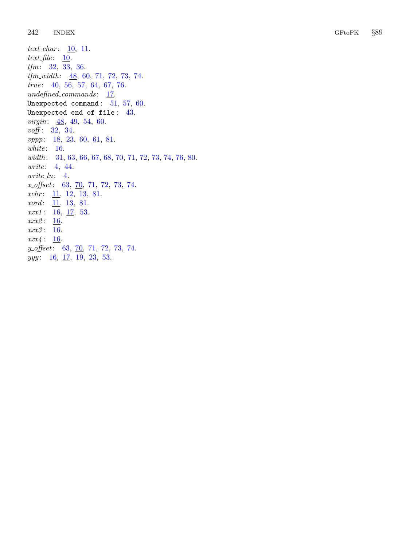text\_char:  $\frac{10}{11}$  $\frac{10}{11}$  $\frac{10}{11}$  $\frac{10}{11}$  $\frac{10}{11}$ . text\_file:  $\underline{10}$  $\underline{10}$  $\underline{10}$ . tfm: [32](#page-14-0), [33](#page-15-0), [36](#page-16-0).  $tfm_width: \underline{48}, 60, 71, 72, 73, 74.$  $tfm_width: \underline{48}, 60, 71, 72, 73, 74.$  $tfm_width: \underline{48}, 60, 71, 72, 73, 74.$  $tfm_width: \underline{48}, 60, 71, 72, 73, 74.$  $tfm_width: \underline{48}, 60, 71, 72, 73, 74.$  $tfm_width: \underline{48}, 60, 71, 72, 73, 74.$  $tfm_width: \underline{48}, 60, 71, 72, 73, 74.$  $tfm_width: \underline{48}, 60, 71, 72, 73, 74.$  $tfm_width: \underline{48}, 60, 71, 72, 73, 74.$  $tfm_width: \underline{48}, 60, 71, 72, 73, 74.$  $tfm_width: \underline{48}, 60, 71, 72, 73, 74.$  $tfm_width: \underline{48}, 60, 71, 72, 73, 74.$  $tfm_width: \underline{48}, 60, 71, 72, 73, 74.$ true: [40](#page-17-0), [56](#page-23-0), [57](#page-24-0), [64](#page-28-0), [67](#page-29-0), [76](#page-34-0). undefined\_commands: [17](#page-7-0). Unexpected command:  $51, 57, 60.$  $51, 57, 60.$  $51, 57, 60.$  $51, 57, 60.$  $51, 57, 60.$  $51, 57, 60.$ Unexpected end of file:  $43.$  $43.$ *virgin*:  $\frac{48}{54}$  $\frac{48}{54}$  $\frac{48}{54}$  $\frac{48}{54}$  $\frac{48}{54}$ , [49](#page-21-0), 54, [60](#page-26-0). voff: [32](#page-14-0), [34](#page-15-0).  $vppp: \underline{18}, 23, 60, \underline{61}, 81.$  $vppp: \underline{18}, 23, 60, \underline{61}, 81.$  $vppp: \underline{18}, 23, 60, \underline{61}, 81.$  $vppp: \underline{18}, 23, 60, \underline{61}, 81.$  $vppp: \underline{18}, 23, 60, \underline{61}, 81.$  $vppp: \underline{18}, 23, 60, \underline{61}, 81.$  $vppp: \underline{18}, 23, 60, \underline{61}, 81.$  $vppp: \underline{18}, 23, 60, \underline{61}, 81.$  $vppp: \underline{18}, 23, 60, \underline{61}, 81.$  $vppp: \underline{18}, 23, 60, \underline{61}, 81.$  $vppp: \underline{18}, 23, 60, \underline{61}, 81.$ white: [16](#page-6-0). width: [31](#page-14-0), [63](#page-27-0), [66](#page-28-0), [67](#page-29-0), [68](#page-30-0), [70](#page-31-0), [71](#page-32-0), [72](#page-32-0), [73](#page-32-0), [74](#page-32-0), [76](#page-34-0), [80](#page-35-0). write: [4](#page-1-0), [44](#page-19-0).  $write\_ln: 4$  $write\_ln: 4$ .  $x_{\text{offset}}$ : [63](#page-27-0), [70](#page-31-0), [71](#page-32-0), [72](#page-32-0), [73](#page-32-0), [74](#page-32-0).  $xchr: \underline{11}, 12, 13, 81.$  $xchr: \underline{11}, 12, 13, 81.$  $xchr: \underline{11}, 12, 13, 81.$  $xchr: \underline{11}, 12, 13, 81.$  $xchr: \underline{11}, 12, 13, 81.$  $xchr: \underline{11}, 12, 13, 81.$  $xchr: \underline{11}, 12, 13, 81.$  $xchr: \underline{11}, 12, 13, 81.$  $xchr: \underline{11}, 12, 13, 81.$ *xord*: [11](#page-3-0), [13](#page-4-0), [81](#page-36-0).  $xxx1: 16, 17, 53.$  $xxx1: 16, 17, 53.$  $xxx1: 16, 17, 53.$  $xxx1: 16, 17, 53.$  $xxx1: 16, 17, 53.$  $xxx1: 16, 17, 53.$  $xxx1: 16, 17, 53.$ xxx2: [16](#page-6-0). xxx3: [16](#page-6-0).  $xxx_4: 16$  $xxx_4: 16$ .  $y_{\text{off}}$ set: [63](#page-27-0), [70](#page-31-0), [71](#page-32-0), [72](#page-32-0), [73](#page-32-0), [74](#page-32-0).  $yyy: \quad 16, \ \underline{17}, \ \underline{19}, \ \underline{23}, \ \underline{53}.$  $yyy: \quad 16, \ \underline{17}, \ \underline{19}, \ \underline{23}, \ \underline{53}.$  $yyy: \quad 16, \ \underline{17}, \ \underline{19}, \ \underline{23}, \ \underline{53}.$  $yyy: \quad 16, \ \underline{17}, \ \underline{19}, \ \underline{23}, \ \underline{53}.$  $yyy: \quad 16, \ \underline{17}, \ \underline{19}, \ \underline{23}, \ \underline{53}.$  $yyy: \quad 16, \ \underline{17}, \ \underline{19}, \ \underline{23}, \ \underline{53}.$  $yyy: \quad 16, \ \underline{17}, \ \underline{19}, \ \underline{23}, \ \underline{53}.$  $yyy: \quad 16, \ \underline{17}, \ \underline{19}, \ \underline{23}, \ \underline{53}.$  $yyy: \quad 16, \ \underline{17}, \ \underline{19}, \ \underline{23}, \ \underline{53}.$  $yyy: \quad 16, \ \underline{17}, \ \underline{19}, \ \underline{23}, \ \underline{53}.$  $yyy: \quad 16, \ \underline{17}, \ \underline{19}, \ \underline{23}, \ \underline{53}.$